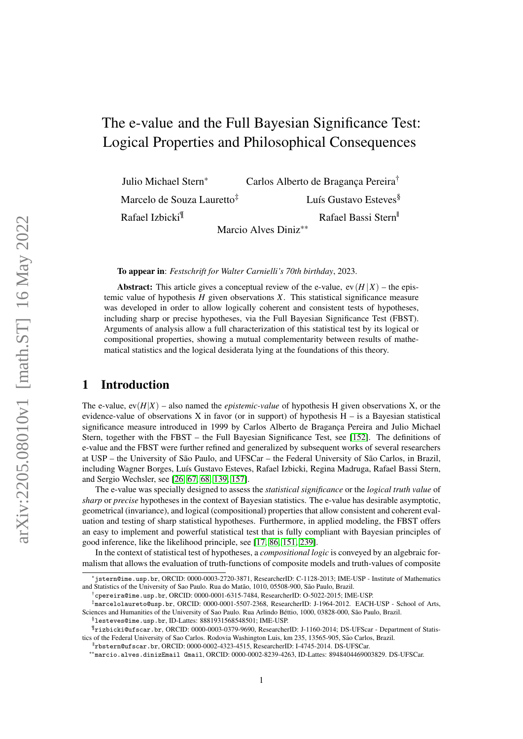# The e-value and the Full Bayesian Significance Test: Logical Properties and Philosophical Consequences

Julio Michael Stern\* Carlos Alberto de Braganca Pereira<sup>†</sup>

Marcelo de Souza Lauretto<sup>‡</sup> Luís Gustavo Esteves<sup>§</sup>

Rafael Izbicki<sup>¶</sup> Rafael Bassi Stern

Marcio Alves Diniz\*\*

To appear in: *Festschrift for Walter Carnielli's 70th birthday*, 2023.

Abstract: This article gives a conceptual review of the e-value,  $ev(H|X)$  – the epistemic value of hypothesis  $H$  given observations  $X$ . This statistical significance measure was developed in order to allow logically coherent and consistent tests of hypotheses, including sharp or precise hypotheses, via the Full Bayesian Significance Test (FBST). Arguments of analysis allow a full characterization of this statistical test by its logical or compositional properties, showing a mutual complementarity between results of mathematical statistics and the logical desiderata lying at the foundations of this theory.

## 1 Introduction

The e-value,  $ev(H|X)$  – also named the *epistemic-value* of hypothesis H given observations X, or the evidence-value of observations X in favor (or in support) of hypothesis  $H -$  is a Bayesian statistical significance measure introduced in 1999 by Carlos Alberto de Bragança Pereira and Julio Michael Stern, together with the FBST – the Full Bayesian Significance Test, see [\[152\]](#page-19-0). The definitions of e-value and the FBST were further refined and generalized by subsequent works of several researchers at USP – the University of São Paulo, and UFSCar – the Federal University of São Carlos, in Brazil, including Wagner Borges, Luís Gustavo Esteves, Rafael Izbicki, Regina Madruga, Rafael Bassi Stern, and Sergio Wechsler, see [\[26,](#page-15-0) [67,](#page-17-0) [68,](#page-17-1) [139,](#page-19-1) [157\]](#page-20-0).

The e-value was specially designed to assess the *statistical significance* or the *logical truth value* of *sharp* or *precise* hypotheses in the context of Bayesian statistics. The e-value has desirable asymptotic, geometrical (invariance), and logical (compositional) properties that allow consistent and coherent evaluation and testing of sharp statistical hypotheses. Furthermore, in applied modeling, the FBST offers an easy to implement and powerful statistical test that is fully compliant with Bayesian principles of good inference, like the likelihood principle, see [\[17,](#page-15-1) [86,](#page-17-2) [151,](#page-19-2) [239\]](#page-22-0).

In the context of statistical test of hypotheses, a *compositional logic* is conveyed by an algebraic formalism that allows the evaluation of truth-functions of composite models and truth-values of composite

 $^\dagger$ cpereira@ime.usp.br, ORCID: 0000-0001-6315-7484, ResearcherID: O-5022-2015; IME-USP.

 $\S$ lesteves@ime.usp.br,ID-Lattes:  $8881931568548501$ ;IME-USP.

<sup>\*</sup>jstern@ime.usp.br, ORCID: 0000-0003-2720-3871, ResearcherID: C-1128-2013; IME-USP - Institute of Mathematics and Statistics of the University of Sao Paulo. Rua do Matão, 1010, 05508-900, São Paulo, Brazil.

<sup>‡</sup>marcelolaureto@usp.br, ORCID: 0000-0001-5507-2368, ResearcherID: J-1964-2012. EACH-USP - School of Arts, Sciences and Humanities of the University of Sao Paulo. Rua Arlindo Béttio, 1000, 03828-000, São Paulo, Brazil.

<sup>¶</sup>rizbicki@ufscar.br, ORCID: 0000-0003-0379-9690, ResearcherID: J-1160-2014; DS-UFScar - Department of Statistics of the Federal University of Sao Carlos. Rodovia Washington Luis, km 235, 13565-905, São Carlos, Brazil.

<sup>||</sup>rbstern@ufscar.br, ORCID: 0000-0002-4323-4515, ResearcherID: I-4745-2014. DS-UFSCar.

<sup>\*\*</sup>marcio.alves.dinizEmail Gmail, ORCID: 0000-0002-8239-4263, ID-Lattes: 8948404469003829. DS-UFSCar.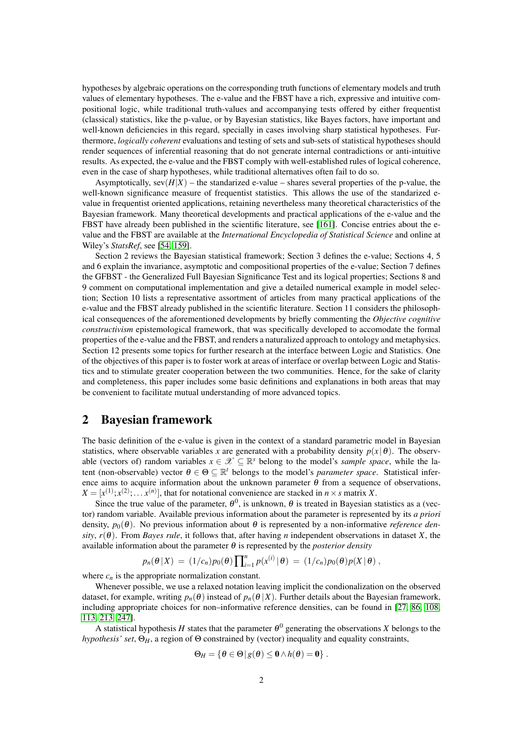hypotheses by algebraic operations on the corresponding truth functions of elementary models and truth values of elementary hypotheses. The e-value and the FBST have a rich, expressive and intuitive compositional logic, while traditional truth-values and accompanying tests offered by either frequentist (classical) statistics, like the p-value, or by Bayesian statistics, like Bayes factors, have important and well-known deficiencies in this regard, specially in cases involving sharp statistical hypotheses. Furthermore, *logically coherent* evaluations and testing of sets and sub-sets of statistical hypotheses should render sequences of inferential reasoning that do not generate internal contradictions or anti-intuitive results. As expected, the e-value and the FBST comply with well-established rules of logical coherence, even in the case of sharp hypotheses, while traditional alternatives often fail to do so.

Asymptotically,  $\text{sev}(H|X)$  – the standarized e-value – shares several properties of the p-value, the well-known significance measure of frequentist statistics. This allows the use of the standarized evalue in frequentist oriented applications, retaining nevertheless many theoretical characteristics of the Bayesian framework. Many theoretical developments and practical applications of the e-value and the FBST have already been published in the scientific literature, see [\[161\]](#page-20-1). Concise entries about the evalue and the FBST are available at the *International Encyclopedia of Statistical Science* and online at Wiley's *StatsRef*, see [\[54,](#page-16-0) [159\]](#page-20-2).

Section 2 reviews the Bayesian statistical framework; Section 3 defines the e-value; Sections 4, 5 and 6 explain the invariance, asymptotic and compositional properties of the e-value; Section 7 defines the GFBST - the Generalized Full Bayesian Significance Test and its logical properties; Sections 8 and 9 comment on computational implementation and give a detailed numerical example in model selection; Section 10 lists a representative assortment of articles from many practical applications of the e-value and the FBST already published in the scientific literature. Section 11 considers the philosophical consequences of the aforementioned developments by briefly commenting the *Objective cognitive constructivism* epistemological framework, that was specifically developed to accomodate the formal properties of the e-value and the FBST, and renders a naturalized approach to ontology and metaphysics. Section 12 presents some topics for further research at the interface between Logic and Statistics. One of the objectives of this paper is to foster work at areas of interface or overlap between Logic and Statistics and to stimulate greater cooperation between the two communities. Hence, for the sake of clarity and completeness, this paper includes some basic definitions and explanations in both areas that may be convenient to facilitate mutual understanding of more advanced topics.

### 2 Bayesian framework

The basic definition of the e-value is given in the context of a standard parametric model in Bayesian statistics, where observable variables *x* are generated with a probability density  $p(x | \theta)$ . The observable (vectors of) random variables  $x \in \mathcal{X} \subseteq \mathbb{R}^s$  belong to the model's *sample space*, while the latent (non-observable) vector  $\theta \in \Theta \subseteq \mathbb{R}^t$  belongs to the model's *parameter space*. Statistical inference aims to acquire information about the unknown parameter  $\theta$  from a sequence of observations,  $X = [x^{(1)}; x^{(2)}; \dots x^{(n)}]$ , that for notational convenience are stacked in  $n \times s$  matrix *X*.

Since the true value of the parameter,  $\theta^0$ , is unknown,  $\theta$  is treated in Bayesian statistics as a (vector) random variable. Available previous information about the parameter is represented by its *a priori* density,  $p_0(\theta)$ . No previous information about  $\theta$  is represented by a non-informative *reference density,*  $r(\theta)$ *. From <i>Bayes rule*, it follows that, after having *n* independent observations in dataset *X*, the available information about the parameter  $\theta$  is represented by the *posterior density* 

$$
p_n(\theta \,|\, X) \,=\, (1/c_n) p_0(\theta) \prod_{i=1}^n p(x^{(i)} \,|\, \theta) \,=\, (1/c_n) p_0(\theta) p(X \,|\, \theta) \,,
$$

where  $c_n$  is the appropriate normalization constant.

Whenever possible, we use a relaxed notation leaving implicit the condionalization on the observed dataset, for example, writing  $p_n(\theta)$  instead of  $p_n(\theta|X)$ . Further details about the Bayesian framework, including appropriate choices for non–informative reference densities, can be found in [\[27,](#page-15-2) [86,](#page-17-2) [108,](#page-18-0) [113,](#page-18-1) [213,](#page-21-0) [247\]](#page-22-1).

A statistical hypothesis *H* states that the parameter  $\theta^0$  generating the observations *X* belongs to the *hypothesis' set*,  $\Theta_H$ , a region of  $\Theta$  constrained by (vector) inequality and equality constraints,

$$
\Theta_H = \{ \theta \in \Theta \, | \, g(\theta) \leq \mathbf{0} \wedge h(\theta) = \mathbf{0} \} \; .
$$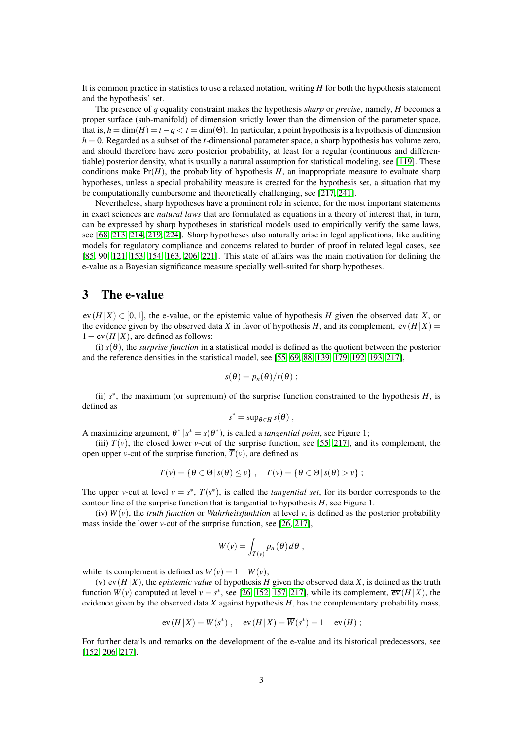It is common practice in statistics to use a relaxed notation, writing *H* for both the hypothesis statement and the hypothesis' set.

The presence of *q* equality constraint makes the hypothesis *sharp* or *precise*, namely, *H* becomes a proper surface (sub-manifold) of dimension strictly lower than the dimension of the parameter space, that is,  $h = \dim(H) = t - q < t = \dim(\Theta)$ . In particular, a point hypothesis is a hypothesis of dimension  $h = 0$ . Regarded as a subset of the *t*-dimensional parameter space, a sharp hypothesis has volume zero, and should therefore have zero posterior probability, at least for a regular (continuous and differentiable) posterior density, what is usually a natural assumption for statistical modeling, see [\[119\]](#page-18-2). These conditions make  $Pr(H)$ , the probability of hypothesis  $H$ , an inappropriate measure to evaluate sharp hypotheses, unless a special probability measure is created for the hypothesis set, a situation that my be computationally cumbersome and theoretically challenging, see [\[217,](#page-22-2) [241\]](#page-22-3).

Nevertheless, sharp hypotheses have a prominent role in science, for the most important statements in exact sciences are *natural laws* that are formulated as equations in a theory of interest that, in turn, can be expressed by sharp hypotheses in statistical models used to empirically verify the same laws, see [\[68,](#page-17-1) [213,](#page-21-0) [214,](#page-21-1) [219,](#page-22-4) [224\]](#page-22-5). Sharp hypotheses also naturally arise in legal applications, like auditing models for regulatory compliance and concerns related to burden of proof in related legal cases, see [\[85,](#page-17-3) [90,](#page-17-4) [121,](#page-18-3) [153,](#page-19-3) [154,](#page-19-4) [163,](#page-20-3) [206,](#page-21-2) [221\]](#page-22-6). This state of affairs was the main motivation for defining the e-value as a Bayesian significance measure specially well-suited for sharp hypotheses.

#### 3 The e-value

 $ev(H|X) \in [0,1]$ , the e-value, or the epistemic value of hypothesis *H* given the observed data *X*, or the evidence given by the observed data *X* in favor of hypothesis *H*, and its complement,  $\overline{ev}(H|X)$  =  $1 - \text{ev}(H|X)$ , are defined as follows:

(i)  $s(\theta)$ , the *surprise function* in a statistical model is defined as the quotient between the posterior and the reference densities in the statistical model, see [\[55,](#page-16-1) [69,](#page-17-5) [88,](#page-17-6) [139,](#page-19-1) [179,](#page-20-4) [192,](#page-21-3) [193,](#page-21-4) [217\]](#page-22-2),

$$
s(\theta)=p_n(\theta)/r(\theta);
$$

(ii)  $s^*$ , the maximum (or supremum) of the surprise function constrained to the hypothesis  $H$ , is defined as

$$
s^* = \sup_{\theta \in H} s(\theta) ,
$$

A maximizing argument,  $\theta^* | s^* = s(\theta^*)$ , is called a *tangential point*, see Figure 1;

(iii)  $T(v)$ , the closed lower *v*-cut of the surprise function, see [\[55,](#page-16-1) [217\]](#page-22-2), and its complement, the open upper *v*-cut of the surprise function,  $\overline{T}(v)$ , are defined as

$$
T(v) = \{ \theta \in \Theta \, | \, s(\theta) \leq v \}, \quad \overline{T}(v) = \{ \theta \in \Theta \, | \, s(\theta) > v \} ;
$$

The upper *v*-cut at level  $v = s^*$ ,  $\overline{T}(s^*)$ , is called the *tangential set*, for its border corresponds to the contour line of the surprise function that is tangential to hypothesis *H*, see Figure 1.

(iv)  $W(v)$ , the *truth function* or *Wahrheitsfunktion* at level *v*, is defined as the posterior probability mass inside the lower *v*-cut of the surprise function, see [\[26,](#page-15-0) [217\]](#page-22-2),

$$
W(v) = \int_{T(v)} p_n(\theta) d\theta,
$$

while its complement is defined as  $\overline{W}(v) = 1 - W(v)$ ;

(v)  $ev(H|X)$ , the *epistemic value* of hypothesis *H* given the observed data *X*, is defined as the truth function  $W(v)$  computed at level  $v = s^*$ , see [\[26,](#page-15-0) [152,](#page-19-0) [157,](#page-20-0) [217\]](#page-22-2), while its complement,  $\overline{ev}(H|X)$ , the evidence given by the observed data *X* against hypothesis *H*, has the complementary probability mass,

$$
ev(H|X) = W(s^*), \quad \overline{ev}(H|X) = \overline{W}(s^*) = 1 - ev(H);
$$

For further details and remarks on the development of the e-value and its historical predecessors, see [\[152,](#page-19-0) [206,](#page-21-2) [217\]](#page-22-2).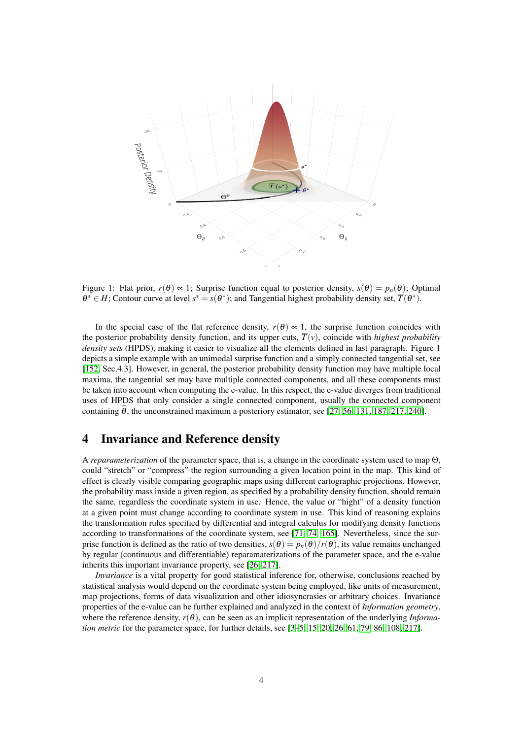

Figure 1: Flat prior,  $r(\theta) \propto 1$ ; Surprise function equal to posterior density,  $s(\theta) = p_n(\theta)$ ; Optimal  $\theta^* \in H$ ; Contour curve at level  $s^* = s(\theta^*)$ ; and Tangential highest probability density set,  $\overline{T}(\theta^*)$ .

In the special case of the flat reference density,  $r(\theta) \propto 1$ , the surprise function coincides with the posterior probability density function, and its upper cuts,  $\overline{T}(v)$ , coincide with *highest probability density sets* (HPDS), making it easier to visualize all the elements defined in last paragraph. Figure 1 depicts a simple example with an unimodal surprise function and a simply connected tangential set, see [\[152,](#page-19-0) Sec.4.3]. However, in general, the posterior probability density function may have multiple local maxima, the tangential set may have multiple connected components, and all these components must be taken into account when computing the e-value. In this respect, the e-value diverges from traditional uses of HPDS that only consider a single connected component, usually the connected component containing  $\theta$ , the unconstrained maximum a posteriory estimator, see [\[27,](#page-15-2) [56,](#page-16-2) [131,](#page-19-5) [187,](#page-20-5) [217,](#page-22-2) [240\]](#page-22-7).

### 4 Invariance and Reference density

A *reparameterization* of the parameter space, that is, a change in the coordinate system used to map Θ, could "stretch" or "compress" the region surrounding a given location point in the map. This kind of effect is clearly visible comparing geographic maps using different cartographic projections. However, the probability mass inside a given region, as specified by a probability density function, should remain the same, regardless the coordinate system in use. Hence, the value or "hight" of a density function at a given point must change according to coordinate system in use. This kind of reasoning explains the transformation rules specified by differential and integral calculus for modifying density functions according to transformations of the coordinate system, see [\[71,](#page-17-7) [74,](#page-17-8) [165\]](#page-20-6). Nevertheless, since the surprise function is defined as the ratio of two densities,  $s(\theta) = p_n(\theta)/r(\theta)$ , its value remains unchanged by regular (continuous and differentiable) reparamaterizations of the parameter space, and the e-value inherits this important invariance property, see [\[26,](#page-15-0) [217\]](#page-22-2).

*Invariance* is a vital property for good statistical inference for, otherwise, conclusions reached by statistical analysis would depend on the coordinate system being employed, like units of measurement, map projections, forms of data visualization and other idiosyncrasies or arbitrary choices. Invariance properties of the e-value can be further explained and analyzed in the context of *Information geometry*, where the reference density,  $r(\theta)$ , can be seen as an implicit representation of the underlying *Information metric* for the parameter space, for further details, see [\[3–](#page-15-3)[5,](#page-15-4) [15,](#page-15-5) [20,](#page-15-6) [26,](#page-15-0) [61,](#page-17-9) [79,](#page-17-10) [86,](#page-17-2) [108,](#page-18-0) [217\]](#page-22-2).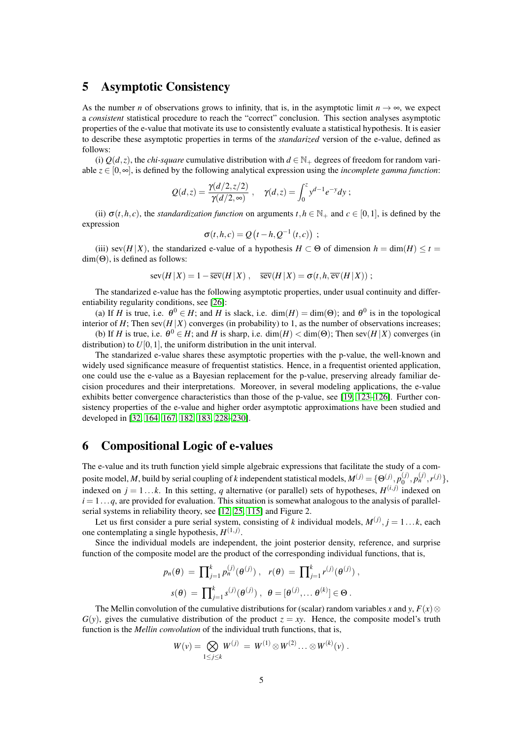### 5 Asymptotic Consistency

As the number *n* of observations grows to infinity, that is, in the asymptotic limit  $n \to \infty$ , we expect a *consistent* statistical procedure to reach the "correct" conclusion. This section analyses asymptotic properties of the e-value that motivate its use to consistently evaluate a statistical hypothesis. It is easier to describe these asymptotic properties in terms of the *standarized* version of the e-value, defined as follows:

(i)  $O(d, z)$ , the *chi-square* cumulative distribution with  $d \in \mathbb{N}_+$  degrees of freedom for random variable *z* ∈ [0,∞], is defined by the following analytical expression using the *incomplete gamma function*:

$$
Q(d,z) = \frac{\gamma(d/2, z/2)}{\gamma(d/2, \infty)}, \quad \gamma(d,z) = \int_0^z y^{d-1} e^{-y} dy ;
$$

(ii)  $\sigma(t, h, c)$ , the *standardization function* on arguments  $t, h \in \mathbb{N}_+$  and  $c \in [0, 1]$ , is defined by the expression

$$
\sigma(t,h,c) = Q(t-h,Q^{-1}(t,c)) ;
$$

(iii) sev( $H|X$ ), the standarized e-value of a hypothesis  $H \subset \Theta$  of dimension  $h = \dim(H) \le t =$  $dim(\Theta)$ , is defined as follows:

$$
\operatorname{sev}(H|X) = 1 - \overline{\operatorname{sev}}(H|X), \quad \overline{\operatorname{sev}}(H|X) = \sigma(t, h, \overline{\operatorname{ev}}(H|X)) ;
$$

The standarized e-value has the following asymptotic properties, under usual continuity and differentiability regularity conditions, see [\[26\]](#page-15-0):

(a) If *H* is true, i.e.  $\theta^0 \in H$ ; and *H* is slack, i.e. dim(*H*) = dim( $\Theta$ ); and  $\theta^0$  is in the topological interior of *H*; Then sev( $H|X$ ) converges (in probability) to 1, as the number of observations increases;

(b) If *H* is true, i.e.  $\theta^0 \in H$ ; and *H* is sharp, i.e. dim(*H*) < dim( $\Theta$ ); Then sev(*H*|*X*) converges (in distribution) to  $U[0,1]$ , the uniform distribution in the unit interval.

The standarized e-value shares these asymptotic properties with the p-value, the well-known and widely used significance measure of frequentist statistics. Hence, in a frequentist oriented application, one could use the e-value as a Bayesian replacement for the p-value, preserving already familiar decision procedures and their interpretations. Moreover, in several modeling applications, the e-value exhibits better convergence characteristics than those of the p-value, see [\[19,](#page-15-7) [123](#page-18-4)[–126\]](#page-18-5). Further consistency properties of the e-value and higher order asymptotic approximations have been studied and developed in [\[32,](#page-16-3) [164,](#page-20-7) [167,](#page-20-8) [182,](#page-20-9) [183,](#page-20-10) [228–](#page-22-8)[230\]](#page-22-9).

# 6 Compositional Logic of e-values

The e-value and its truth function yield simple algebraic expressions that facilitate the study of a composite model, *M*, build by serial coupling of *k* independent statistical models,  $M^{(j)} = \{ \Theta^{(j)}, p_0^{(j)} \}$  $p_n^{(j)}, p_n^{(j)}, r^{(j)}\},$ indexed on  $j = 1...k$ . In this setting, *q* alternative (or parallel) sets of hypotheses,  $H^{(i,j)}$  indexed on  $i = 1...q$ , are provided for evaluation. This situation is somewhat analogous to the analysis of parallelserial systems in reliability theory, see [\[12,](#page-15-8) [25,](#page-15-9) [115\]](#page-18-6) and Figure 2.

Let us first consider a pure serial system, consisting of *k* individual models,  $M^{(j)}$ ,  $j = 1...k$ , each one contemplating a single hypothesis,  $H^{(1,j)}$ .

Since the individual models are independent, the joint posterior density, reference, and surprise function of the composite model are the product of the corresponding individual functions, that is,

$$
p_n(\theta) = \prod_{j=1}^k p_n^{(j)}(\theta^{(j)}), \quad r(\theta) = \prod_{j=1}^k r^{(j)}(\theta^{(j)}),
$$

$$
s(\theta) = \prod_{j=1}^k s^{(j)}(\theta^{(j)}), \quad \theta = [\theta^{(j)}, \dots \theta^{(k)}] \in \Theta.
$$

The Mellin convolution of the cumulative distributions for (scalar) random variables *x* and *y*,  $F(x)$  $G(y)$ , gives the cumulative distribution of the product  $z = xy$ . Hence, the composite model's truth function is the *Mellin convolution* of the individual truth functions, that is,

$$
W(v) = \bigotimes_{1 \leq j \leq k} W^{(j)} = W^{(1)} \otimes W^{(2)} \dots \otimes W^{(k)}(v) .
$$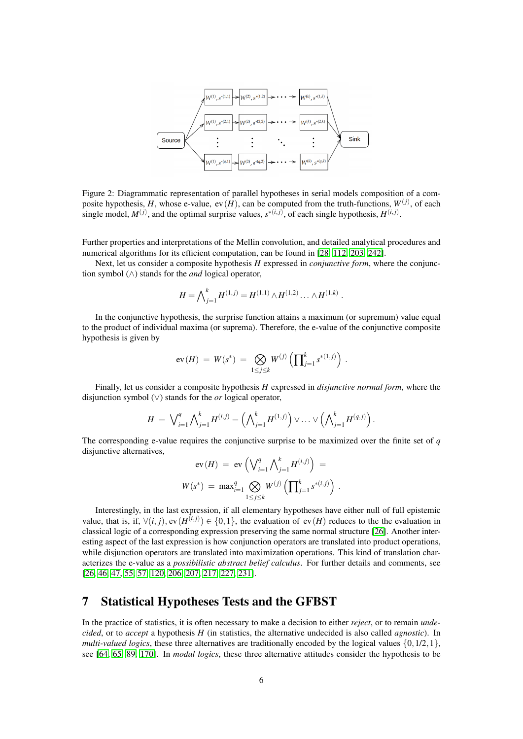

Figure 2: Diagrammatic representation of parallel hypotheses in serial models composition of a composite hypothesis, *H*, whose e-value, ev(*H*), can be computed from the truth-functions,  $W^{(j)}$ , of each single model,  $M^{(j)}$ , and the optimal surprise values,  $s^{*(i,j)}$ , of each single hypothesis,  $H^{(i,j)}$ .

Further properties and interpretations of the Mellin convolution, and detailed analytical procedures and numerical algorithms for its efficient computation, can be found in [\[28,](#page-15-10) [112,](#page-18-7) [203,](#page-21-5) [242\]](#page-22-10).

Next, let us consider a composite hypothesis *H* expressed in *conjunctive form*, where the conjunction symbol (∧) stands for the *and* logical operator,

$$
H = \bigwedge_{j=1}^k H^{(1,j)} = H^{(1,1)} \wedge H^{(1,2)} \dots \wedge H^{(1,k)}.
$$

In the conjunctive hypothesis, the surprise function attains a maximum (or supremum) value equal to the product of individual maxima (or suprema). Therefore, the e-value of the conjunctive composite hypothesis is given by

$$
\text{ev}(H) \ = \ W(s^*) \ = \ \bigotimes_{1 \leq j \leq k} W^{(j)} \left( \prod_{j=1}^k s^{*(1,j)} \right) \ .
$$

Finally, let us consider a composite hypothesis *H* expressed in *disjunctive normal form*, where the disjunction symbol (∨) stands for the *or* logical operator,

$$
H = \bigvee_{i=1}^{q} \bigwedge_{j=1}^{k} H^{(i,j)} = \left( \bigwedge_{j=1}^{k} H^{(1,j)} \right) \vee \ldots \vee \left( \bigwedge_{j=1}^{k} H^{(q,j)} \right).
$$

The corresponding e-value requires the conjunctive surprise to be maximized over the finite set of *q* disjunctive alternatives,

$$
ev(H) = ev\left(\bigvee_{i=1}^{q} \bigwedge_{j=1}^{k} H^{(i,j)}\right) =
$$
  

$$
W(s^*) = max_{i=1}^{q} \bigotimes_{1 \leq j \leq k} W^{(j)}\left(\prod_{j=1}^{k} s^{*(i,j)}\right).
$$

Interestingly, in the last expression, if all elementary hypotheses have either null of full epistemic value, that is, if,  $\forall (i, j)$ ,  $ev(H^{(i,j)}) \in \{0, 1\}$ , the evaluation of  $ev(H)$  reduces to the the evaluation in classical logic of a corresponding expression preserving the same normal structure [\[26\]](#page-15-0). Another interesting aspect of the last expression is how conjunction operators are translated into product operations, while disjunction operators are translated into maximization operations. This kind of translation characterizes the e-value as a *possibilistic abstract belief calculus*. For further details and comments, see [\[26,](#page-15-0) [46,](#page-16-4) [47,](#page-16-5) [55,](#page-16-1) [57,](#page-16-6) [120,](#page-18-8) [206,](#page-21-2) [207,](#page-21-6) [217,](#page-22-2) [227,](#page-22-11) [231\]](#page-22-12).

### 7 Statistical Hypotheses Tests and the GFBST

In the practice of statistics, it is often necessary to make a decision to either *reject*, or to remain *undecided*, or to *accept* a hypothesis *H* (in statistics, the alternative undecided is also called *agnostic*). In *multi-valued logics*, these three alternatives are traditionally encoded by the logical values  $\{0, 1/2, 1\}$ , see [\[64,](#page-17-11) [65,](#page-17-12) [89,](#page-17-13) [170\]](#page-20-11). In *modal logics*, these three alternative attitudes consider the hypothesis to be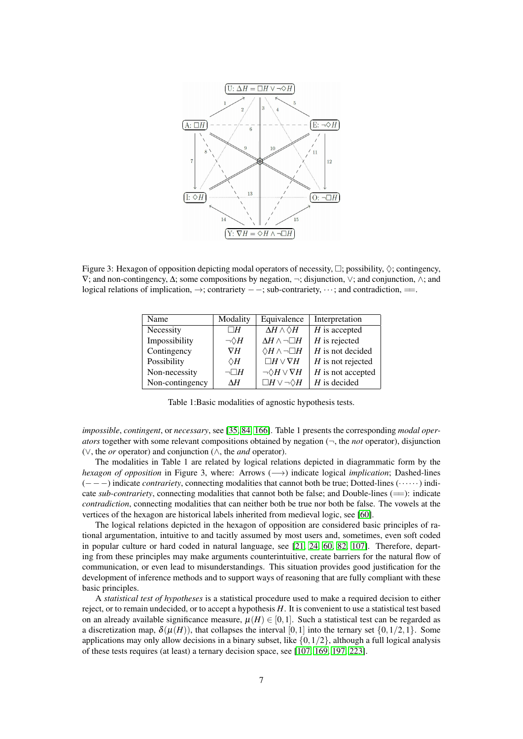

Figure 3: Hexagon of opposition depicting modal operators of necessity,  $\Box$ ; possibility,  $\Diamond$ ; contingency, ∇; and non-contingency, ∆; some compositions by negation, ¬; disjunction, ∨; and conjunction, ∧; and logical relations of implication, →; contrariety – –; sub-contrariety, …; and contradiction, ==.

| Modality          | Equivalence                     | Interpretation      |  |  |
|-------------------|---------------------------------|---------------------|--|--|
| $\Box H$          | $\Delta H \wedge \Diamond H$    | $H$ is accepted     |  |  |
| $\neg \Diamond H$ | $\Delta H \wedge \neg \Box H$   | $H$ is rejected     |  |  |
| $\nabla H$        | $\Diamond H \wedge \neg \Box H$ | $H$ is not decided  |  |  |
| $\Diamond H$      | $\Box H \vee \nabla H$          | $H$ is not rejected |  |  |
| $\neg\Box H$      | $\neg \Diamond H \vee \nabla H$ | $H$ is not accepted |  |  |
| ΛH                | $\Box H \vee \neg \Diamond H$   | $H$ is decided      |  |  |
|                   |                                 |                     |  |  |

Table 1:Basic modalities of agnostic hypothesis tests.

*impossible*, *contingent*, or *necessary*, see [\[35,](#page-16-7) [84,](#page-17-14) [166\]](#page-20-12). Table 1 presents the corresponding *modal operators* together with some relevant compositions obtained by negation (¬, the *not* operator), disjunction (∨, the *or* operator) and conjunction (∧, the *and* operator).

The modalities in Table 1 are related by logical relations depicted in diagrammatic form by the *hexagon of opposition* in Figure 3, where: Arrows (→) indicate logical *implication*; Dashed-lines (−−−) indicate *contrariety*, connecting modalities that cannot both be true; Dotted-lines (······) indicate *sub-contrariety*, connecting modalities that cannot both be false; and Double-lines (==): indicate *contradiction*, connecting modalities that can neither both be true nor both be false. The vowels at the vertices of the hexagon are historical labels inherited from medieval logic, see [\[60\]](#page-16-8).

The logical relations depicted in the hexagon of opposition are considered basic principles of rational argumentation, intuitive to and tacitly assumed by most users and, sometimes, even soft coded in popular culture or hard coded in natural language, see [\[21,](#page-15-11) [24,](#page-15-12) [60,](#page-16-8) [82,](#page-17-15) [107\]](#page-18-9). Therefore, departing from these principles may make arguments counterintuitive, create barriers for the natural flow of communication, or even lead to misunderstandings. This situation provides good justification for the development of inference methods and to support ways of reasoning that are fully compliant with these basic principles.

A *statistical test of hypotheses* is a statistical procedure used to make a required decision to either reject, or to remain undecided, or to accept a hypothesis *H*. It is convenient to use a statistical test based on an already available significance measure,  $\mu(H) \in [0,1]$ . Such a statistical test can be regarded as a discretization map,  $\delta(\mu(H))$ , that collapses the interval [0,1] into the ternary set  $\{0,1/2,1\}$ . Some applications may only allow decisions in a binary subset, like  $\{0,1/2\}$ , although a full logical analysis of these tests requires (at least) a ternary decision space, see [\[107,](#page-18-9) [169,](#page-20-13) [197,](#page-21-7) [223\]](#page-22-13).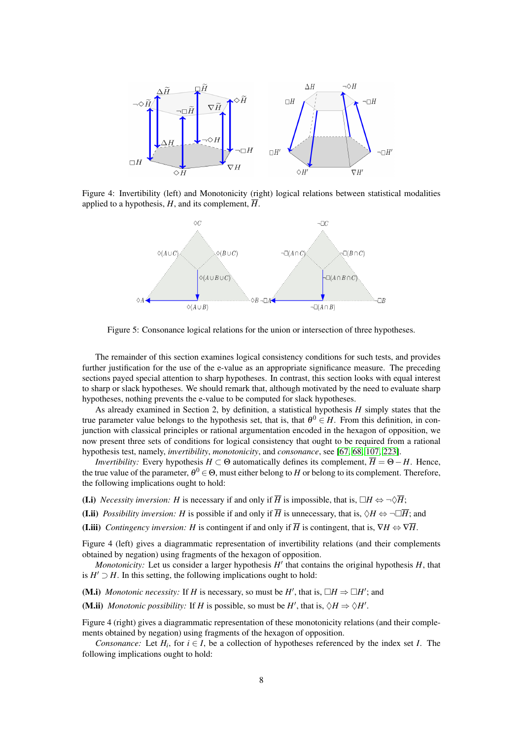

Figure 4: Invertibility (left) and Monotonicity (right) logical relations between statistical modalities applied to a hypothesis,  $H$ , and its complement,  $\overline{H}$ .



Figure 5: Consonance logical relations for the union or intersection of three hypotheses.

The remainder of this section examines logical consistency conditions for such tests, and provides further justification for the use of the e-value as an appropriate significance measure. The preceding sections payed special attention to sharp hypotheses. In contrast, this section looks with equal interest to sharp or slack hypotheses. We should remark that, although motivated by the need to evaluate sharp hypotheses, nothing prevents the e-value to be computed for slack hypotheses.

As already examined in Section 2, by definition, a statistical hypothesis *H* simply states that the true parameter value belongs to the hypothesis set, that is, that  $\theta^0 \in H$ . From this definition, in conjunction with classical principles or rational argumentation encoded in the hexagon of opposition, we now present three sets of conditions for logical consistency that ought to be required from a rational hypothesis test, namely, *invertibility*, *monotonicity*, and *consonance*, see [\[67,](#page-17-0) [68,](#page-17-1) [107,](#page-18-9) [223\]](#page-22-13).

*Invertibility:* Every hypothesis  $H \subset \Theta$  automatically defines its complement,  $\overline{H} = \Theta - H$ . Hence, the true value of the parameter,  $\theta^0$   $\in$   $\Theta$ , must either belong to  $H$  or belong to its complement. Therefore, the following implications ought to hold:

- (I.i) *Necessity inversion: H* is necessary if and only if  $\overline{H}$  is impossible, that is,  $\Box H \Leftrightarrow \neg \Diamond \overline{H}$ ;
- (I.ii) *Possibility inversion: H* is possible if and only if  $\overline{H}$  is unnecessary, that is,  $\Diamond H \Leftrightarrow \neg \Box \overline{H}$ ; and
- (**I.iii**) *Contingency inversion: H* is contingent if and only if  $\overline{H}$  is contingent, that is,  $\nabla H \Leftrightarrow \nabla \overline{H}$ .

Figure 4 (left) gives a diagrammatic representation of invertibility relations (and their complements obtained by negation) using fragments of the hexagon of opposition.

*Monotonicity:* Let us consider a larger hypothesis  $H'$  that contains the original hypothesis  $H$ , that is  $H' \supset H$ . In this setting, the following implications ought to hold:

(M.i) *Monotonic necessity:* If *H* is necessary, so must be *H'*, that is,  $\Box H \Rightarrow \Box H'$ ; and

(M.ii) *Monotonic possibility:* If *H* is possible, so must be *H'*, that is,  $\Diamond H \Rightarrow \Diamond H'$ .

Figure 4 (right) gives a diagrammatic representation of these monotonicity relations (and their complements obtained by negation) using fragments of the hexagon of opposition.

*Consonance:* Let  $H_i$ , for  $i \in I$ , be a collection of hypotheses referenced by the index set *I*. The following implications ought to hold: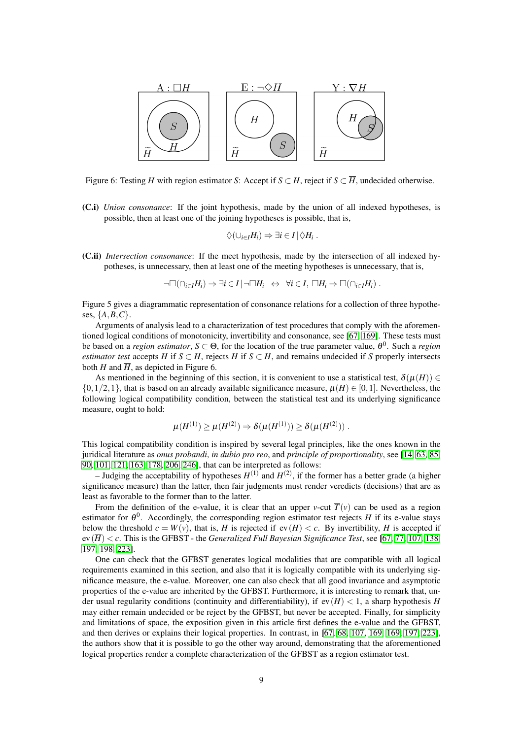

Figure 6: Testing *H* with region estimator *S*: Accept if  $S \subset H$ , reject if  $S \subset \overline{H}$ , undecided otherwise.

(C.i) *Union consonance*: If the joint hypothesis, made by the union of all indexed hypotheses, is possible, then at least one of the joining hypotheses is possible, that is,

$$
\Diamond(\cup_{i\in I}H_i)\Rightarrow \exists i\in I\,|\,\Diamond H_i\ .
$$

(C.ii) *Intersection consonance*: If the meet hypothesis, made by the intersection of all indexed hypotheses, is unnecessary, then at least one of the meeting hypotheses is unnecessary, that is,

$$
\neg \Box(\cap_{i\in I}H_i)\Rightarrow \exists i\in I\,|\,\neg \Box H_i \Leftrightarrow \forall i\in I, \,\Box H_i\Rightarrow \Box(\cap_{i\in I}H_i)\,.
$$

Figure 5 gives a diagrammatic representation of consonance relations for a collection of three hypotheses, {*A*,*B*,*C*}.

Arguments of analysis lead to a characterization of test procedures that comply with the aforementioned logical conditions of monotonicity, invertibility and consonance, see [\[67,](#page-17-0) [169\]](#page-20-13). These tests must be based on a *region estimator*,  $S \subset \Theta$ , for the location of the true parameter value,  $\theta^0$ . Such a *region estimator test* accepts *H* if  $S \subset H$ , rejects *H* if  $S \subset \overline{H}$ , and remains undecided if *S* properly intersects both *H* and  $\overline{H}$ , as depicted in Figure 6.

As mentioned in the beginning of this section, it is convenient to use a statistical test,  $\delta(\mu(H)) \in$  $\{0,1/2,1\}$ , that is based on an already available significance measure,  $\mu(H) \in [0,1]$ . Nevertheless, the following logical compatibility condition, between the statistical test and its underlying significance measure, ought to hold:

$$
\mu(H^{(1)}) \ge \mu(H^{(2)}) \Rightarrow \delta(\mu(H^{(1)})) \ge \delta(\mu(H^{(2)})) \ .
$$

This logical compatibility condition is inspired by several legal principles, like the ones known in the juridical literature as *onus probandi*, *in dubio pro reo*, and *principle of proportionality*, see [\[14,](#page-15-13) [63,](#page-17-16) [85,](#page-17-3) [90,](#page-17-4) [101,](#page-18-10) [121,](#page-18-3) [163,](#page-20-3) [178,](#page-20-14) [206,](#page-21-2) [246\]](#page-22-14), that can be interpreted as follows:

– Judging the acceptability of hypotheses  $H^{(1)}$  and  $H^{(2)}$ , if the former has a better grade (a higher significance measure) than the latter, then fair judgments must render veredicts (decisions) that are as least as favorable to the former than to the latter.

From the definition of the e-value, it is clear that an upper *v*-cut  $\overline{T}(v)$  can be used as a region estimator for  $\theta^0$ . Accordingly, the corresponding region estimator test rejects *H* if its e-value stays below the threshold  $c = W(v)$ , that is, *H* is rejected if  $ev(H) < c$ . By invertibility, *H* is accepted if ev(*H*) < *c*. This is the GFBST - the *Generalized Full Bayesian Significance Test*, see [\[67,](#page-17-0) [77,](#page-17-17) [107,](#page-18-9) [138,](#page-19-6) [197,](#page-21-7) [198,](#page-21-8) [223\]](#page-22-13).

One can check that the GFBST generates logical modalities that are compatible with all logical requirements examined in this section, and also that it is logically compatible with its underlying significance measure, the e-value. Moreover, one can also check that all good invariance and asymptotic properties of the e-value are inherited by the GFBST. Furthermore, it is interesting to remark that, under usual regularity conditions (continuity and differentiability), if  $ev(H) < 1$ , a sharp hypothesis *H* may either remain undecided or be reject by the GFBST, but never be accepted. Finally, for simplicity and limitations of space, the exposition given in this article first defines the e-value and the GFBST, and then derives or explains their logical properties. In contrast, in [\[67,](#page-17-0) [68,](#page-17-1) [107,](#page-18-9) [169, 169,](#page-20-13) [197,](#page-21-7) [223\]](#page-22-13), the authors show that it is possible to go the other way around, demonstrating that the aforementioned logical properties render a complete characterization of the GFBST as a region estimator test.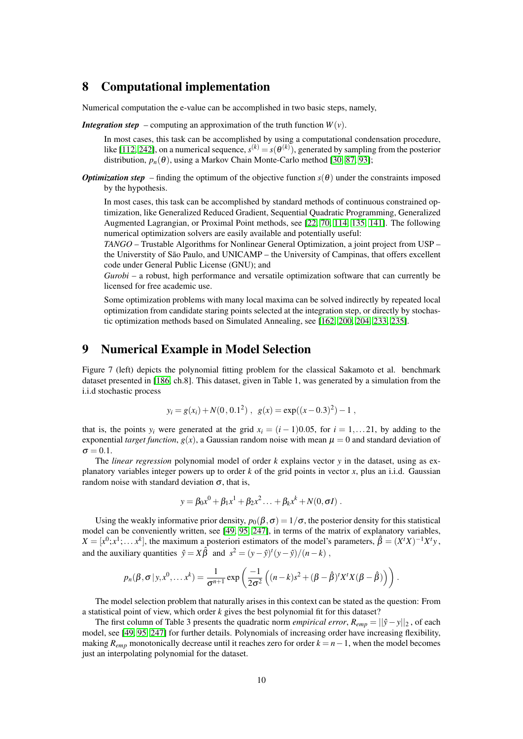### 8 Computational implementation

Numerical computation the e-value can be accomplished in two basic steps, namely,

*Integration step* – computing an approximation of the truth function  $W(v)$ .

In most cases, this task can be accomplished by using a computational condensation procedure, like [\[112,](#page-18-7) [242\]](#page-22-10), on a numerical sequence,  $s^{(k)} = s(\theta^{(k)})$ , generated by sampling from the posterior distribution,  $p_n(\theta)$ , using a Markov Chain Monte-Carlo method [\[30,](#page-16-9) [87,](#page-17-18) [93\]](#page-17-19);

*Optimization step* – finding the optimum of the objective function  $s(\theta)$  under the constraints imposed by the hypothesis.

In most cases, this task can be accomplished by standard methods of continuous constrained optimization, like Generalized Reduced Gradient, Sequential Quadratic Programming, Generalized Augmented Lagrangian, or Proximal Point methods, see [\[22,](#page-15-14) [70,](#page-17-20) [114,](#page-18-11) [135,](#page-19-7) [141\]](#page-19-8). The following numerical optimization solvers are easily available and potentially useful:

*TANGO* – Trustable Algorithms for Nonlinear General Optimization, a joint project from USP – the Universtity of São Paulo, and UNICAMP – the University of Campinas, that offers excellent code under General Public License (GNU); and

*Gurobi* – a robust, high performance and versatile optimization software that can currently be licensed for free academic use.

Some optimization problems with many local maxima can be solved indirectly by repeated local optimization from candidate staring points selected at the integration step, or directly by stochastic optimization methods based on Simulated Annealing, see [\[162,](#page-20-15) [200,](#page-21-9) [204,](#page-21-10) [233,](#page-22-15) [235\]](#page-22-16).

### 9 Numerical Example in Model Selection

Figure 7 (left) depicts the polynomial fitting problem for the classical Sakamoto et al. benchmark dataset presented in [\[186,](#page-20-16) ch.8]. This dataset, given in Table 1, was generated by a simulation from the i.i.d stochastic process

$$
y_i = g(x_i) + N(0, 0.1^2)
$$
,  $g(x) = \exp((x - 0.3)^2) - 1$ ,

that is, the points *y<sub>i</sub>* were generated at the grid  $x_i = (i-1)0.05$ , for  $i = 1,...21$ , by adding to the exponential *target function*,  $g(x)$ , a Gaussian random noise with mean  $\mu = 0$  and standard deviation of  $\sigma = 0.1$ .

The *linear regression* polynomial model of order *k* explains vector *y* in the dataset, using as explanatory variables integer powers up to order *k* of the grid points in vector *x*, plus an i.i.d. Gaussian random noise with standard deviation  $\sigma$ , that is,

$$
y = \beta_0 x^0 + \beta_1 x^1 + \beta_2 x^2 \dots + \beta_k x^k + N(0, \sigma I).
$$

Using the weakly informative prior density,  $p_0(\beta, \sigma) = 1/\sigma$ , the posterior density for this statistical model can be conveniently written, see [\[49,](#page-16-10) [95,](#page-17-21) [247\]](#page-22-1), in terms of the matrix of explanatory variables,  $X = [x^0; x^1; \dots; x^k]$ , the maximum a posteriori estimators of the model's parameters,  $\hat{\beta} = (X^t X)^{-1} X^t y$ , and the auxiliary quantities  $\hat{y} = X\hat{\beta}$  and  $s^2 = (y - \hat{y})^t(y - \hat{y})/(n - k)$ ,

$$
p_n(\beta, \sigma | y, x^0, \dots x^k) = \frac{1}{\sigma^{n+1}} \exp \left( \frac{-1}{2\sigma^2} \left( (n-k)s^2 + (\beta - \hat{\beta})^t X^t X (\beta - \hat{\beta}) \right) \right).
$$

The model selection problem that naturally arises in this context can be stated as the question: From a statistical point of view, which order *k* gives the best polynomial fit for this dataset?

The first column of Table 3 presents the quadratic norm *empirical error*,  $R_{emp} = ||\hat{y} - y||_2$ , of each model, see [\[49,](#page-16-10) [95,](#page-17-21) [247\]](#page-22-1) for further details. Polynomials of increasing order have increasing flexibility, making  $R_{emp}$  monotonically decrease until it reaches zero for order  $k = n - 1$ , when the model becomes just an interpolating polynomial for the dataset.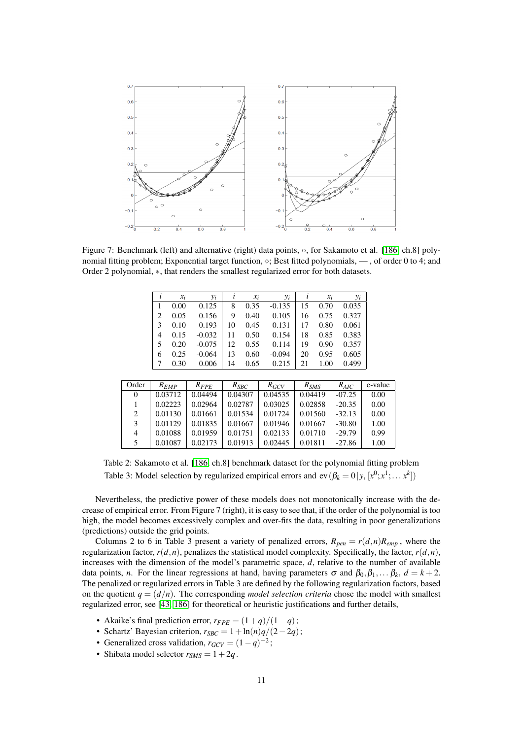

Figure 7: Benchmark (left) and alternative (right) data points, ◦, for Sakamoto et al. [\[186,](#page-20-16) ch.8] polynomial fitting problem; Exponential target function,  $\Diamond$ ; Best fitted polynomials, — , of order 0 to 4; and Order 2 polynomial, ∗, that renders the smallest regularized error for both datasets.

|                | $\iota$        | $x_i$     | $y_i$     | l       | $x_i$     | $y_i$     | $\iota$   | $x_i$ | $y_i$     |         |
|----------------|----------------|-----------|-----------|---------|-----------|-----------|-----------|-------|-----------|---------|
|                | 1              | 0.00      | 0.125     | 8       | 0.35      | $-0.135$  | 15        | 0.70  | 0.035     |         |
|                | 2              | 0.05      | 0.156     | 9       | 0.40      | 0.105     | 16        | 0.75  | 0.327     |         |
|                | 3              | 0.10      | 0.193     | 10      | 0.45      | 0.131     | 17        | 0.80  | 0.061     |         |
|                | $\overline{4}$ | 0.15      | $-0.032$  | 11      | 0.50      | 0.154     | 18        | 0.85  | 0.383     |         |
|                | 5              | 0.20      | $-0.075$  | 12      | 0.55      | 0.114     | 19        | 0.90  | 0.357     |         |
|                | 6              | 0.25      | $-0.064$  | 13      | 0.60      | $-0.094$  | 20        | 0.95  | 0.605     |         |
|                | 7              | 0.30      | 0.006     | 14      | 0.65      | 0.215     | 21        | 1.00  | 0.499     |         |
|                |                |           |           |         |           |           |           |       |           |         |
| Order          |                | $R_{EMP}$ | $R_{FPE}$ |         | $R_{SBC}$ | $R_{GCV}$ | $R_{SMS}$ |       | $R_{AIC}$ | e-value |
| $\overline{0}$ |                | 0.03712   | 0.04494   |         | 0.04307   | 0.04535   | 0.04419   |       | $-07.25$  | 0.00    |
| 1              |                | 0.02223   | 0.02964   |         | 0.02787   | 0.03025   | 0.02858   |       | $-20.35$  | 0.00    |
| $\overline{2}$ |                | 0.01130   | 0.01661   |         | 0.01534   | 0.01724   | 0.01560   |       | $-32.13$  | 0.00    |
| 3              |                | 0.01129   | 0.01835   |         | 0.01667   | 0.01946   | 0.01667   |       | $-30.80$  | 1.00    |
| $\overline{4}$ |                | 0.01088   | 0.01959   | 0.01751 |           | 0.02133   | 0.01710   |       | $-29.79$  | 0.99    |
| 5              |                | 0.01087   | 0.02173   |         | 0.01913   | 0.02445   | 0.01811   |       | $-27.86$  | 1.00    |

Table 2: Sakamoto et al. [\[186,](#page-20-16) ch.8] benchmark dataset for the polynomial fitting problem Table 3: Model selection by regularized empirical errors and  $ev(\beta_k = 0 | y, [x^0; x^1; \dots x^k])$ 

Nevertheless, the predictive power of these models does not monotonically increase with the decrease of empirical error. From Figure 7 (right), it is easy to see that, if the order of the polynomial is too high, the model becomes excessively complex and over-fits the data, resulting in poor generalizations (predictions) outside the grid points.

Columns 2 to 6 in Table 3 present a variety of penalized errors,  $R_{pen} = r(d, n)R_{emp}$ , where the regularization factor, *r*(*d*,*n*), penalizes the statistical model complexity. Specifically, the factor, *r*(*d*,*n*), increases with the dimension of the model's parametric space, *d*, relative to the number of available data points, *n*. For the linear regressions at hand, having parameters  $\sigma$  and  $\beta_0, \beta_1, \ldots, \beta_k, d = k + 2$ . The penalized or regularized errors in Table 3 are defined by the following regularization factors, based on the quotient  $q = (d/n)$ . The corresponding *model selection criteria* chose the model with smallest regularized error, see [\[43,](#page-16-11) [186\]](#page-20-16) for theoretical or heuristic justifications and further details,

- Akaike's final prediction error,  $r_{FPE} = (1+q)/(1-q)$ ;
- Schartz' Bayesian criterion,  $r_{SBC} = 1 + \ln(n)q/(2-2q)$ ;
- Generalized cross validation,  $r_{GCV} = (1 q)^{-2}$ ;
- Shibata model selector  $r_{SMS} = 1 + 2q$ .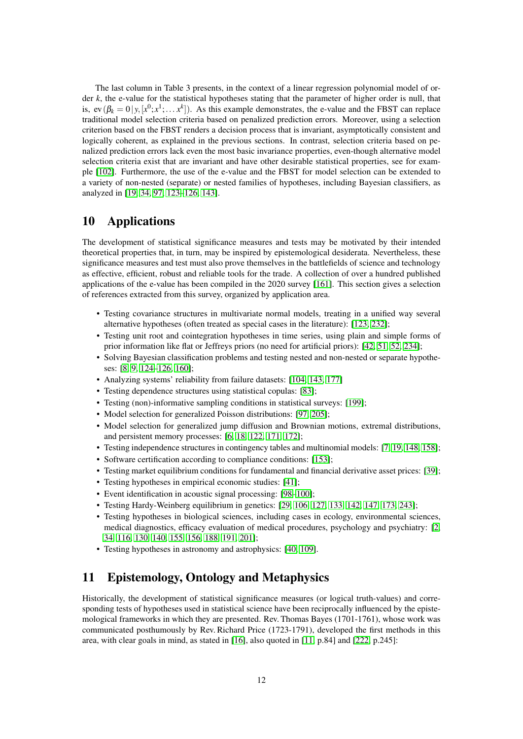The last column in Table 3 presents, in the context of a linear regression polynomial model of order *k*, the e-value for the statistical hypotheses stating that the parameter of higher order is null, that is,  $ev(\beta_k = 0 | y, [x^0; x^1; \dots; x^k])$ . As this example demonstrates, the e-value and the FBST can replace traditional model selection criteria based on penalized prediction errors. Moreover, using a selection criterion based on the FBST renders a decision process that is invariant, asymptotically consistent and logically coherent, as explained in the previous sections. In contrast, selection criteria based on penalized prediction errors lack even the most basic invariance properties, even-though alternative model selection criteria exist that are invariant and have other desirable statistical properties, see for example [\[102\]](#page-18-12). Furthermore, the use of the e-value and the FBST for model selection can be extended to a variety of non-nested (separate) or nested families of hypotheses, including Bayesian classifiers, as analyzed in [\[19,](#page-15-7) [34,](#page-16-12) [97,](#page-18-13) [123–](#page-18-4)[126,](#page-18-5) [143\]](#page-19-9).

### 10 Applications

The development of statistical significance measures and tests may be motivated by their intended theoretical properties that, in turn, may be inspired by epistemological desiderata. Nevertheless, these significance measures and test must also prove themselves in the battlefields of science and technology as effective, efficient, robust and reliable tools for the trade. A collection of over a hundred published applications of the e-value has been compiled in the 2020 survey [\[161\]](#page-20-1). This section gives a selection of references extracted from this survey, organized by application area.

- Testing covariance structures in multivariate normal models, treating in a unified way several alternative hypotheses (often treated as special cases in the literature): [\[123,](#page-18-4) [232\]](#page-22-17);
- Testing unit root and cointegration hypotheses in time series, using plain and simple forms of prior information like flat or Jeffreys priors (no need for artificial priors): [\[42,](#page-16-13) [51,](#page-16-14) [52,](#page-16-15) [234\]](#page-22-18);
- Solving Bayesian classification problems and testing nested and non-nested or separate hypotheses: [\[8,](#page-15-15) [9,](#page-15-16) [124–](#page-18-14)[126,](#page-18-5) [160\]](#page-20-17);
- Analyzing systems' reliability from failure datasets: [\[104,](#page-18-15) [143,](#page-19-9) [177\]](#page-20-18)
- Testing dependence structures using statistical copulas: [\[83\]](#page-17-22);
- Testing (non)-informative sampling conditions in statistical surveys: [\[199\]](#page-21-11);
- Model selection for generalized Poisson distributions: [\[97,](#page-18-13) [205\]](#page-21-12);
- Model selection for generalized jump diffusion and Brownian motions, extremal distributions, and persistent memory processes: [\[6,](#page-15-17) [18,](#page-15-18) [122,](#page-18-16) [171,](#page-20-19) [172\]](#page-20-20);
- Testing independence structures in contingency tables and multinomial models: [\[7,](#page-15-19) [19,](#page-15-7) [148,](#page-19-10) [158\]](#page-20-21);
- Software certification according to compliance conditions: [\[153\]](#page-19-3);
- Testing market equilibrium conditions for fundamental and financial derivative asset prices: [\[39\]](#page-16-16);
- Testing hypotheses in empirical economic studies: [\[41\]](#page-16-17);
- Event identification in acoustic signal processing: [\[98–](#page-18-17)[100\]](#page-18-18);
- Testing Hardy-Weinberg equilibrium in genetics: [\[29,](#page-15-20) [106,](#page-18-19) [127,](#page-19-11) [133,](#page-19-12) [142,](#page-19-13) [147,](#page-19-14) [173,](#page-20-22) [243\]](#page-22-19);
- Testing hypotheses in biological sciences, including cases in ecology, environmental sciences, medical diagnostics, efficacy evaluation of medical procedures, psychology and psychiatry: [\[2,](#page-15-21) [34,](#page-16-12) [116,](#page-18-20) [130,](#page-19-15) [140,](#page-19-16) [155,](#page-19-17) [156,](#page-20-23) [188,](#page-21-13) [191,](#page-21-14) [201\]](#page-21-15);
- Testing hypotheses in astronomy and astrophysics: [\[40,](#page-16-18) [109\]](#page-18-21).

# 11 Epistemology, Ontology and Metaphysics

Historically, the development of statistical significance measures (or logical truth-values) and corresponding tests of hypotheses used in statistical science have been reciprocally influenced by the epistemological frameworks in which they are presented. Rev. Thomas Bayes (1701-1761), whose work was communicated posthumously by Rev. Richard Price (1723-1791), developed the first methods in this area, with clear goals in mind, as stated in [\[16\]](#page-15-22), also quoted in [\[11,](#page-15-23) p.84] and [\[222,](#page-22-20) p.245]: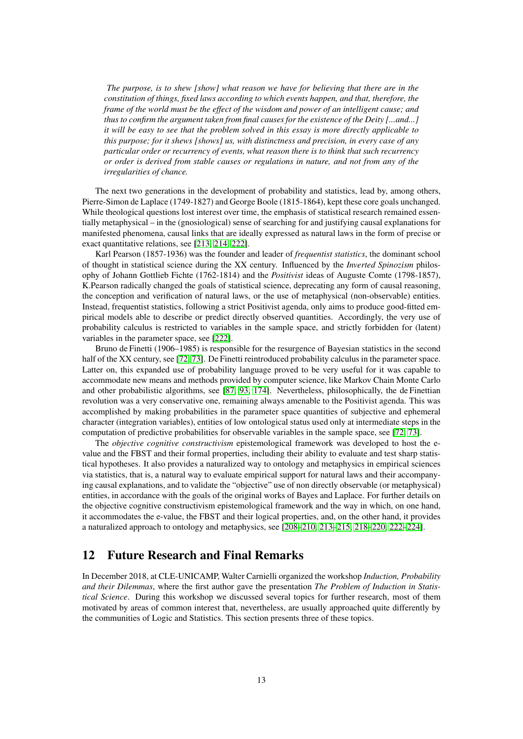*The purpose, is to shew [show] what reason we have for believing that there are in the constitution of things, fixed laws according to which events happen, and that, therefore, the frame of the world must be the effect of the wisdom and power of an intelligent cause; and thus to confirm the argument taken from final causes for the existence of the Deity [...and...] it will be easy to see that the problem solved in this essay is more directly applicable to this purpose; for it shews [shows] us, with distinctness and precision, in every case of any particular order or recurrency of events, what reason there is to think that such recurrency or order is derived from stable causes or regulations in nature, and not from any of the irregularities of chance.*

The next two generations in the development of probability and statistics, lead by, among others, Pierre-Simon de Laplace (1749-1827) and George Boole (1815-1864), kept these core goals unchanged. While theological questions lost interest over time, the emphasis of statistical research remained essentially metaphysical – in the (gnosiological) sense of searching for and justifying causal explanations for manifested phenomena, causal links that are ideally expressed as natural laws in the form of precise or exact quantitative relations, see [\[213,](#page-21-0) [214,](#page-21-1) [222\]](#page-22-20).

Karl Pearson (1857-1936) was the founder and leader of *frequentist statistics*, the dominant school of thought in statistical science during the XX century. Influenced by the *Inverted Spinozism* philosophy of Johann Gottlieb Fichte (1762-1814) and the *Positivist* ideas of Auguste Comte (1798-1857), K.Pearson radically changed the goals of statistical science, deprecating any form of causal reasoning, the conception and verification of natural laws, or the use of metaphysical (non-observable) entities. Instead, frequentist statistics, following a strict Positivist agenda, only aims to produce good-fitted empirical models able to describe or predict directly observed quantities. Accordingly, the very use of probability calculus is restricted to variables in the sample space, and strictly forbidden for (latent) variables in the parameter space, see [\[222\]](#page-22-20).

Bruno de Finetti (1906–1985) is responsible for the resurgence of Bayesian statistics in the second half of the XX century, see [\[72,](#page-17-23) [73\]](#page-17-24). De Finetti reintroduced probability calculus in the parameter space. Latter on, this expanded use of probability language proved to be very useful for it was capable to accommodate new means and methods provided by computer science, like Markov Chain Monte Carlo and other probabilistic algorithms, see [\[87,](#page-17-18) [93,](#page-17-19) [174\]](#page-20-24). Nevertheless, philosophically, the de Finettian revolution was a very conservative one, remaining always amenable to the Positivist agenda. This was accomplished by making probabilities in the parameter space quantities of subjective and ephemeral character (integration variables), entities of low ontological status used only at intermediate steps in the computation of predictive probabilities for observable variables in the sample space, see [\[72,](#page-17-23) [73\]](#page-17-24).

The *objective cognitive constructivism* epistemological framework was developed to host the evalue and the FBST and their formal properties, including their ability to evaluate and test sharp statistical hypotheses. It also provides a naturalized way to ontology and metaphysics in empirical sciences via statistics, that is, a natural way to evaluate empirical support for natural laws and their accompanying causal explanations, and to validate the "objective" use of non directly observable (or metaphysical) entities, in accordance with the goals of the original works of Bayes and Laplace. For further details on the objective cognitive constructivism epistemological framework and the way in which, on one hand, it accommodates the e-value, the FBST and their logical properties, and, on the other hand, it provides a naturalized approach to ontology and metaphysics, see [\[208–](#page-21-16)[210,](#page-21-17) [213–](#page-21-0)[215,](#page-21-18) [218–](#page-22-21)[220,](#page-22-22) [222–](#page-22-20)[224\]](#page-22-5).

### 12 Future Research and Final Remarks

In December 2018, at CLE-UNICAMP, Walter Carnielli organized the workshop *Induction, Probability and their Dilemmas*, where the first author gave the presentation *The Problem of Induction in Statistical Science*. During this workshop we discussed several topics for further research, most of them motivated by areas of common interest that, nevertheless, are usually approached quite differently by the communities of Logic and Statistics. This section presents three of these topics.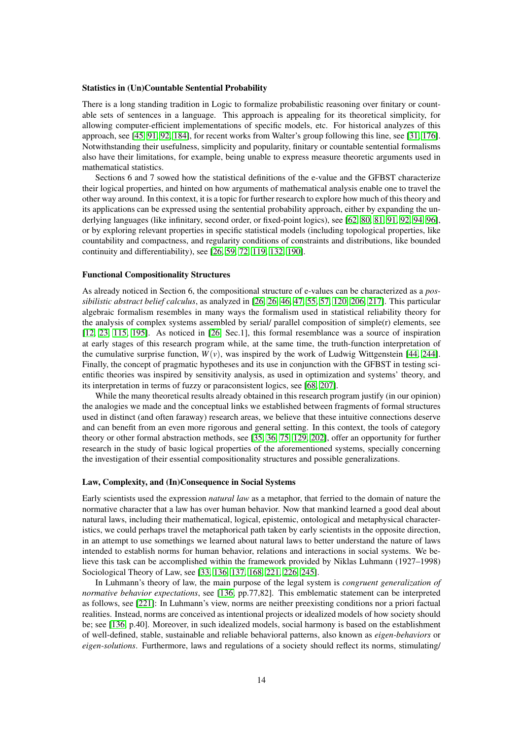#### Statistics in (Un)Countable Sentential Probability

There is a long standing tradition in Logic to formalize probabilistic reasoning over finitary or countable sets of sentences in a language. This approach is appealing for its theoretical simplicity, for allowing computer-efficient implementations of specific models, etc. For historical analyzes of this approach, see [\[45,](#page-16-19) [91,](#page-17-25) [92,](#page-17-26) [184\]](#page-20-25), for recent works from Walter's group following this line, see [\[31,](#page-16-20) [176\]](#page-20-26). Notwithstanding their usefulness, simplicity and popularity, finitary or countable sentential formalisms also have their limitations, for example, being unable to express measure theoretic arguments used in mathematical statistics.

Sections 6 and 7 sowed how the statistical definitions of the e-value and the GFBST characterize their logical properties, and hinted on how arguments of mathematical analysis enable one to travel the other way around. In this context, it is a topic for further research to explore how much of this theory and its applications can be expressed using the sentential probability approach, either by expanding the underlying languages (like infinitary, second order, or fixed-point logics), see [\[62,](#page-17-27) [80,](#page-17-28) [81,](#page-17-29) [91,](#page-17-25) [92,](#page-17-26) [94,](#page-17-30) [96\]](#page-17-31), or by exploring relevant properties in specific statistical models (including topological properties, like countability and compactness, and regularity conditions of constraints and distributions, like bounded continuity and differentiability), see [\[26,](#page-15-0) [59,](#page-16-21) [72,](#page-17-23) [119,](#page-18-2) [132,](#page-19-18) [190\]](#page-21-19).

#### Functional Compositionality Structures

As already noticed in Section 6, the compositional structure of e-values can be characterized as a *possibilistic abstract belief calculus*, as analyzed in [\[26, 26,](#page-15-0) [46,](#page-16-4) [47,](#page-16-5) [55,](#page-16-1) [57,](#page-16-6) [120,](#page-18-8) [206,](#page-21-2) [217\]](#page-22-2). This particular algebraic formalism resembles in many ways the formalism used in statistical reliability theory for the analysis of complex systems assembled by serial/ parallel composition of simple(r) elements, see [\[12,](#page-15-8) [23,](#page-15-24) [115,](#page-18-6) [195\]](#page-21-20). As noticed in [\[26,](#page-15-0) Sec.1], this formal resemblance was a source of inspiration at early stages of this research program while, at the same time, the truth-function interpretation of the cumulative surprise function,  $W(v)$ , was inspired by the work of Ludwig Wittgenstein [\[44,](#page-16-22) [244\]](#page-22-23). Finally, the concept of pragmatic hypotheses and its use in conjunction with the GFBST in testing scientific theories was inspired by sensitivity analysis, as used in optimization and systems' theory, and its interpretation in terms of fuzzy or paraconsistent logics, see [\[68,](#page-17-1) [207\]](#page-21-6).

While the many theoretical results already obtained in this research program justify (in our opinion) the analogies we made and the conceptual links we established between fragments of formal structures used in distinct (and often faraway) research areas, we believe that these intuitive connections deserve and can benefit from an even more rigorous and general setting. In this context, the tools of category theory or other formal abstraction methods, see [\[35,](#page-16-7) [36,](#page-16-23) [75,](#page-17-32) [129,](#page-19-19) [202\]](#page-21-21), offer an opportunity for further research in the study of basic logical properties of the aforementioned systems, specially concerning the investigation of their essential compositionality structures and possible generalizations.

#### Law, Complexity, and (In)Consequence in Social Systems

Early scientists used the expression *natural law* as a metaphor, that ferried to the domain of nature the normative character that a law has over human behavior. Now that mankind learned a good deal about natural laws, including their mathematical, logical, epistemic, ontological and metaphysical characteristics, we could perhaps travel the metaphorical path taken by early scientists in the opposite direction, in an attempt to use somethings we learned about natural laws to better understand the nature of laws intended to establish norms for human behavior, relations and interactions in social systems. We believe this task can be accomplished within the framework provided by Niklas Luhmann (1927–1998) Sociological Theory of Law, see [\[33,](#page-16-24) [136,](#page-19-20) [137,](#page-19-21) [168,](#page-20-27) [221,](#page-22-6) [226,](#page-22-24) [245\]](#page-22-25).

In Luhmann's theory of law, the main purpose of the legal system is *congruent generalization of normative behavior expectations*, see [\[136,](#page-19-20) pp.77,82]. This emblematic statement can be interpreted as follows, see [\[221\]](#page-22-6): In Luhmann's view, norms are neither preexisting conditions nor a priori factual realities. Instead, norms are conceived as intentional projects or idealized models of how society should be; see [\[136,](#page-19-20) p.40]. Moreover, in such idealized models, social harmony is based on the establishment of well-defined, stable, sustainable and reliable behavioral patterns, also known as *eigen-behaviors* or *eigen-solutions*. Furthermore, laws and regulations of a society should reflect its norms, stimulating/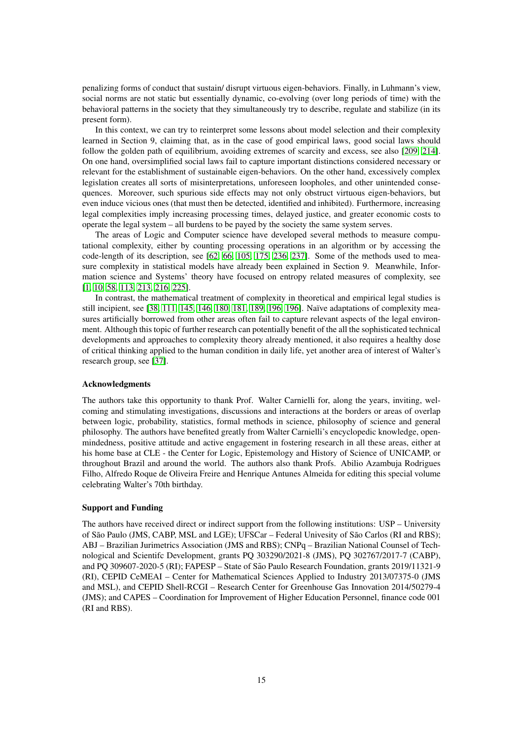penalizing forms of conduct that sustain/ disrupt virtuous eigen-behaviors. Finally, in Luhmann's view, social norms are not static but essentially dynamic, co-evolving (over long periods of time) with the behavioral patterns in the society that they simultaneously try to describe, regulate and stabilize (in its present form).

In this context, we can try to reinterpret some lessons about model selection and their complexity learned in Section 9, claiming that, as in the case of good empirical laws, good social laws should follow the golden path of equilibrium, avoiding extremes of scarcity and excess, see also [\[209,](#page-21-22) [214\]](#page-21-1). On one hand, oversimplified social laws fail to capture important distinctions considered necessary or relevant for the establishment of sustainable eigen-behaviors. On the other hand, excessively complex legislation creates all sorts of misinterpretations, unforeseen loopholes, and other unintended consequences. Moreover, such spurious side effects may not only obstruct virtuous eigen-behaviors, but even induce vicious ones (that must then be detected, identified and inhibited). Furthermore, increasing legal complexities imply increasing processing times, delayed justice, and greater economic costs to operate the legal system – all burdens to be payed by the society the same system serves.

The areas of Logic and Computer science have developed several methods to measure computational complexity, either by counting processing operations in an algorithm or by accessing the code-length of its description, see [\[62,](#page-17-27) [66,](#page-17-33) [105,](#page-18-22) [175,](#page-20-28) [236,](#page-22-26) [237\]](#page-22-27). Some of the methods used to measure complexity in statistical models have already been explained in Section 9. Meanwhile, Information science and Systems' theory have focused on entropy related measures of complexity, see [\[1,](#page-15-25) [10,](#page-15-26) [58,](#page-16-25) [113,](#page-18-1) [213,](#page-21-0) [216,](#page-21-23) [225\]](#page-22-28).

In contrast, the mathematical treatment of complexity in theoretical and empirical legal studies is still incipient, see [\[38,](#page-16-26) [111,](#page-18-23) [145,](#page-19-22) [146,](#page-19-23) [180,](#page-20-29) [181,](#page-20-30) [189,](#page-21-24) [196, 196\]](#page-21-25). Naïve adaptations of complexity measures artificially borrowed from other areas often fail to capture relevant aspects of the legal environment. Although this topic of further research can potentially benefit of the all the sophisticated technical developments and approaches to complexity theory already mentioned, it also requires a healthy dose of critical thinking applied to the human condition in daily life, yet another area of interest of Walter's research group, see [\[37\]](#page-16-27).

#### Acknowledgments

The authors take this opportunity to thank Prof. Walter Carnielli for, along the years, inviting, welcoming and stimulating investigations, discussions and interactions at the borders or areas of overlap between logic, probability, statistics, formal methods in science, philosophy of science and general philosophy. The authors have benefited greatly from Walter Carnielli's encyclopedic knowledge, openmindedness, positive attitude and active engagement in fostering research in all these areas, either at his home base at CLE - the Center for Logic, Epistemology and History of Science of UNICAMP, or throughout Brazil and around the world. The authors also thank Profs. Abilio Azambuja Rodrigues Filho, Alfredo Roque de Oliveira Freire and Henrique Antunes Almeida for editing this special volume celebrating Walter's 70th birthday.

#### Support and Funding

The authors have received direct or indirect support from the following institutions: USP – University of São Paulo (JMS, CABP, MSL and LGE); UFSCar – Federal Univesity of São Carlos (RI and RBS); ABJ – Brazilian Jurimetrics Association (JMS and RBS); CNPq – Brazilian National Counsel of Technological and Scientifc Development, grants PQ 303290/2021-8 (JMS), PQ 302767/2017-7 (CABP), and PQ 309607-2020-5 (RI); FAPESP – State of Sao Paulo Research Foundation, grants 2019/11321-9 ˜ (RI), CEPID CeMEAI – Center for Mathematical Sciences Applied to Industry 2013/07375-0 (JMS and MSL), and CEPID Shell-RCGI – Research Center for Greenhouse Gas Innovation 2014/50279-4 (JMS); and CAPES – Coordination for Improvement of Higher Education Personnel, finance code 001 (RI and RBS).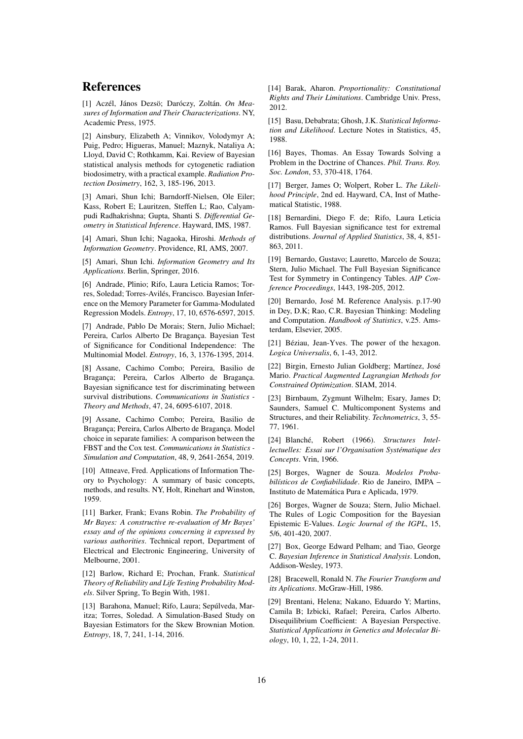### References

<span id="page-15-25"></span>[1] Aczél, János Dezsö: Daróczy, Zoltán. On Mea*sures of Information and Their Characterizations*. NY, Academic Press, 1975.

<span id="page-15-21"></span>[2] Ainsbury, Elizabeth A; Vinnikov, Volodymyr A; Puig, Pedro; Higueras, Manuel; Maznyk, Nataliya A; Lloyd, David C; Rothkamm, Kai. Review of Bayesian statistical analysis methods for cytogenetic radiation biodosimetry, with a practical example. *Radiation Protection Dosimetry*, 162, 3, 185-196, 2013.

<span id="page-15-3"></span>[3] Amari, Shun Ichi; Barndorff-Nielsen, Ole Eiler; Kass, Robert E; Lauritzen, Steffen L; Rao, Calyampudi Radhakrishna; Gupta, Shanti S. *Differential Geometry in Statistical Inference*. Hayward, IMS, 1987.

[4] Amari, Shun Ichi; Nagaoka, Hiroshi. *Methods of Information Geometry*. Providence, RI, AMS, 2007.

<span id="page-15-4"></span>[5] Amari, Shun Ichi. *Information Geometry and Its Applications*. Berlin, Springer, 2016.

<span id="page-15-17"></span>[6] Andrade, Plinio; Rifo, Laura Leticia Ramos; Torres, Soledad; Torres-Aviles, Francisco. Bayesian Infer- ´ ence on the Memory Parameter for Gamma-Modulated Regression Models. *Entropy*, 17, 10, 6576-6597, 2015.

<span id="page-15-19"></span>[7] Andrade, Pablo De Morais; Stern, Julio Michael; Pereira, Carlos Alberto De Bragança. Bayesian Test of Significance for Conditional Independence: The Multinomial Model. *Entropy*, 16, 3, 1376-1395, 2014.

<span id="page-15-15"></span>[8] Assane, Cachimo Combo; Pereira, Basilio de Bragança; Pereira, Carlos Alberto de Bragança. Bayesian significance test for discriminating between survival distributions. *Communications in Statistics - Theory and Methods*, 47, 24, 6095-6107, 2018.

<span id="page-15-16"></span>[9] Assane, Cachimo Combo; Pereira, Basilio de Braganca: Pereira, Carlos Alberto de Braganca, Model choice in separate families: A comparison between the FBST and the Cox test. *Communications in Statistics - Simulation and Computation*, 48, 9, 2641-2654, 2019.

<span id="page-15-26"></span>[10] Attneave, Fred. Applications of Information Theory to Psychology: A summary of basic concepts, methods, and results. NY, Holt, Rinehart and Winston, 1959.

<span id="page-15-23"></span>[11] Barker, Frank; Evans Robin. *The Probability of Mr Bayes: A constructive re-evaluation of Mr Bayes' essay and of the opinions concerning it expressed by various authorities*. Technical report, Department of Electrical and Electronic Engineering, University of Melbourne, 2001.

<span id="page-15-8"></span>[12] Barlow, Richard E; Prochan, Frank. *Statistical Theory of Reliability and Life Testing Probability Models*. Silver Spring, To Begin With, 1981.

[13] Barahona, Manuel; Rifo, Laura; Sepúlveda, Maritza; Torres, Soledad. A Simulation-Based Study on Bayesian Estimators for the Skew Brownian Motion. *Entropy*, 18, 7, 241, 1-14, 2016.

<span id="page-15-13"></span>[14] Barak, Aharon. *Proportionality: Constitutional Rights and Their Limitations*. Cambridge Univ. Press, 2012.

<span id="page-15-5"></span>[15] Basu, Debabrata; Ghosh, J.K. *Statistical Information and Likelihood*. Lecture Notes in Statistics, 45, 1988.

<span id="page-15-22"></span>[16] Bayes, Thomas. An Essay Towards Solving a Problem in the Doctrine of Chances. *Phil. Trans. Roy. Soc. London*, 53, 370-418, 1764.

<span id="page-15-1"></span>[17] Berger, James O; Wolpert, Rober L. *The Likelihood Principle*, 2nd ed. Hayward, CA, Inst of Mathematical Statistic, 1988.

<span id="page-15-18"></span>[18] Bernardini, Diego F. de; Rifo, Laura Leticia Ramos. Full Bayesian significance test for extremal distributions. *Journal of Applied Statistics*, 38, 4, 851- 863, 2011.

<span id="page-15-7"></span>[19] Bernardo, Gustavo; Lauretto, Marcelo de Souza; Stern, Julio Michael. The Full Bayesian Significance Test for Symmetry in Contingency Tables. *AIP Conference Proceedings*, 1443, 198-205, 2012.

<span id="page-15-6"></span>[20] Bernardo, José M. Reference Analysis. p.17-90 in Dey, D.K; Rao, C.R. Bayesian Thinking: Modeling and Computation. *Handbook of Statistics*, v.25. Amsterdam, Elsevier, 2005.

<span id="page-15-11"></span>[21] Béziau, Jean-Yves. The power of the hexagon. *Logica Universalis*, 6, 1-43, 2012.

<span id="page-15-14"></span>[22] Birgin, Ernesto Julian Goldberg; Martínez, José Mario. *Practical Augmented Lagrangian Methods for Constrained Optimization*. SIAM, 2014.

<span id="page-15-24"></span>[23] Birnbaum, Zygmunt Wilhelm; Esary, James D; Saunders, Samuel C. Multicomponent Systems and Structures, and their Reliability. *Technometrics*, 3, 55- 77, 1961.

<span id="page-15-12"></span>[24] Blanché, Robert (1966). Structures Intel*lectuelles: Essai sur l'Organisation Systematique des ´ Concepts*. Vrin, 1966.

<span id="page-15-9"></span>[25] Borges, Wagner de Souza. *Modelos Probabil´ısticos de Confiabilidade*. Rio de Janeiro, IMPA – Instituto de Matematica Pura e Aplicada, 1979. ´

<span id="page-15-0"></span>[26] Borges, Wagner de Souza; Stern, Julio Michael. The Rules of Logic Composition for the Bayesian Epistemic E-Values. *Logic Journal of the IGPL*, 15, 5/6, 401-420, 2007.

<span id="page-15-2"></span>[27] Box, George Edward Pelham; and Tiao, George C. *Bayesian Inference in Statistical Analysis*. London, Addison-Wesley, 1973.

<span id="page-15-10"></span>[28] Bracewell, Ronald N. *The Fourier Transform and its Aplications*. McGraw-Hill, 1986.

<span id="page-15-20"></span>[29] Brentani, Helena; Nakano, Eduardo Y; Martins, Camila B; Izbicki, Rafael; Pereira, Carlos Alberto. Disequilibrium Coefficient: A Bayesian Perspective. *Statistical Applications in Genetics and Molecular Biology*, 10, 1, 22, 1-24, 2011.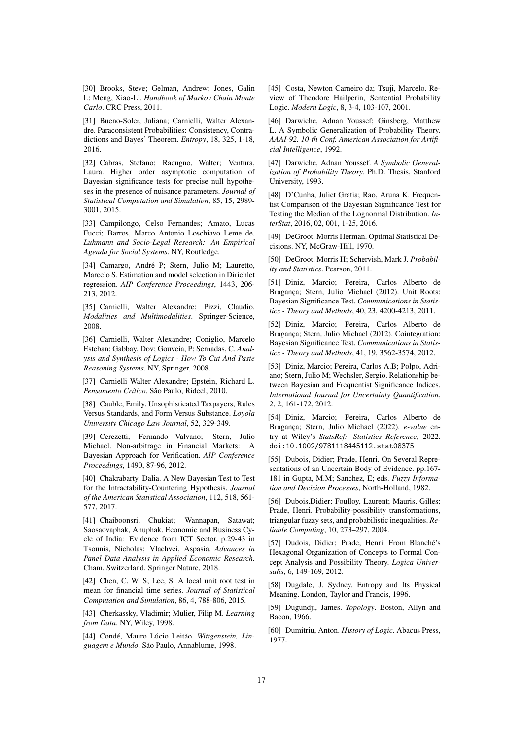<span id="page-16-9"></span>[30] Brooks, Steve; Gelman, Andrew; Jones, Galin L; Meng, Xiao-Li. *Handbook of Markov Chain Monte Carlo*. CRC Press, 2011.

<span id="page-16-20"></span>[31] Bueno-Soler, Juliana; Carnielli, Walter Alexandre. Paraconsistent Probabilities: Consistency, Contradictions and Bayes' Theorem. *Entropy*, 18, 325, 1-18, 2016.

<span id="page-16-3"></span>[32] Cabras, Stefano; Racugno, Walter; Ventura, Laura. Higher order asymptotic computation of Bayesian significance tests for precise null hypotheses in the presence of nuisance parameters. *Journal of Statistical Computation and Simulation*, 85, 15, 2989- 3001, 2015.

<span id="page-16-24"></span>[33] Campilongo, Celso Fernandes; Amato, Lucas Fucci; Barros, Marco Antonio Loschiavo Leme de. *Luhmann and Socio-Legal Research: An Empirical Agenda for Social Systems*. NY, Routledge.

<span id="page-16-12"></span>[34] Camargo, André P; Stern, Julio M; Lauretto, Marcelo S. Estimation and model selection in Dirichlet regression. *AIP Conference Proceedings*, 1443, 206- 213, 2012.

<span id="page-16-7"></span>[35] Carnielli, Walter Alexandre; Pizzi, Claudio. *Modalities and Multimodalities*. Springer-Science, 2008.

<span id="page-16-23"></span>[36] Carnielli, Walter Alexandre; Coniglio, Marcelo Esteban; Gabbay, Dov; Gouveia, P; Sernadas, C. *Analysis and Synthesis of Logics - How To Cut And Paste Reasoning Systems*. NY, Springer, 2008.

<span id="page-16-27"></span>[37] Carnielli Walter Alexandre; Epstein, Richard L. Pensamento Crítico. São Paulo, Rideel, 2010.

<span id="page-16-26"></span>[38] Cauble, Emily. Unsophisticated Taxpayers, Rules Versus Standards, and Form Versus Substance. *Loyola University Chicago Law Journal*, 52, 329-349.

<span id="page-16-16"></span>[39] Cerezetti, Fernando Valvano; Stern, Julio Michael. Non-arbitrage in Financial Markets: A Bayesian Approach for Verification. *AIP Conference Proceedings*, 1490, 87-96, 2012.

<span id="page-16-18"></span>[40] Chakrabarty, Dalia. A New Bayesian Test to Test for the Intractability-Countering Hypothesis. *Journal of the American Statistical Association*, 112, 518, 561- 577, 2017.

<span id="page-16-17"></span>[41] Chaiboonsri, Chukiat; Wannapan, Satawat; Saosaovaphak, Anuphak. Economic and Business Cycle of India: Evidence from ICT Sector. p.29-43 in Tsounis, Nicholas; Vlachvei, Aspasia. *Advances in Panel Data Analysis in Applied Economic Research*. Cham, Switzerland, Springer Nature, 2018.

<span id="page-16-13"></span>[42] Chen, C. W. S; Lee, S. A local unit root test in mean for financial time series. *Journal of Statistical Computation and Simulation*, 86, 4, 788-806, 2015.

<span id="page-16-11"></span>[43] Cherkassky, Vladimir; Mulier, Filip M. *Learning from Data*. NY, Wiley, 1998.

<span id="page-16-22"></span>[44] Condé, Mauro Lúcio Leitão. Wittgenstein, Linguagem e Mundo. São Paulo, Annablume, 1998.

<span id="page-16-19"></span>[45] Costa, Newton Carneiro da; Tsuji, Marcelo. Review of Theodore Hailperin, Sentential Probability Logic. *Modern Logic*, 8, 3-4, 103-107, 2001.

<span id="page-16-4"></span>[46] Darwiche, Adnan Youssef; Ginsberg, Matthew L. A Symbolic Generalization of Probability Theory. *AAAI-92. 10-th Conf. American Association for Artificial Intelligence*, 1992.

<span id="page-16-5"></span>[47] Darwiche, Adnan Youssef. *A Symbolic Generalization of Probability Theory*. Ph.D. Thesis, Stanford University, 1993.

[48] D'Cunha, Juliet Gratia; Rao, Aruna K. Frequentist Comparison of the Bayesian Significance Test for Testing the Median of the Lognormal Distribution. *InterStat*, 2016, 02, 001, 1-25, 2016.

<span id="page-16-10"></span>[49] DeGroot, Morris Herman. Optimal Statistical Decisions. NY, McGraw-Hill, 1970.

[50] DeGroot, Morris H; Schervish, Mark J. *Probability and Statistics*. Pearson, 2011.

<span id="page-16-14"></span>[51] Diniz, Marcio; Pereira, Carlos Alberto de Bragança; Stern, Julio Michael (2012). Unit Roots: Bayesian Significance Test. *Communications in Statistics - Theory and Methods*, 40, 23, 4200-4213, 2011.

<span id="page-16-15"></span>[52] Diniz, Marcio; Pereira, Carlos Alberto de Bragança; Stern, Julio Michael (2012). Cointegration: Bayesian Significance Test. *Communications in Statistics - Theory and Methods*, 41, 19, 3562-3574, 2012.

[53] Diniz, Marcio; Pereira, Carlos A.B; Polpo, Adriano; Stern, Julio M; Wechsler, Sergio. Relationship between Bayesian and Frequentist Significance Indices. *International Journal for Uncertainty Quantification*, 2, 2, 161-172, 2012.

<span id="page-16-0"></span>[54] Diniz, Marcio; Pereira, Carlos Alberto de Bragança; Stern, Julio Michael (2022). e-value entry at Wiley's *StatsRef: Statistics Reference*, 2022. doi:10.1002/9781118445112.stat08375

<span id="page-16-1"></span>[55] Dubois, Didier; Prade, Henri. On Several Representations of an Uncertain Body of Evidence. pp.167- 181 in Gupta, M.M; Sanchez, E; eds. *Fuzzy Information and Decision Processes*, North-Holland, 1982.

<span id="page-16-2"></span>[56] Dubois, Didier; Foulloy, Laurent; Mauris, Gilles; Prade, Henri. Probability-possibility transformations, triangular fuzzy sets, and probabilistic inequalities. *Reliable Computing*, 10, 273–297, 2004.

<span id="page-16-6"></span>[57] Dudois, Didier; Prade, Henri. From Blanché's Hexagonal Organization of Concepts to Formal Concept Analysis and Possibility Theory. *Logica Universalis*, 6, 149-169, 2012.

<span id="page-16-25"></span>[58] Dugdale, J. Sydney. Entropy and Its Physical Meaning. London, Taylor and Francis, 1996.

<span id="page-16-21"></span>[59] Dugundji, James. *Topology*. Boston, Allyn and Bacon, 1966.

<span id="page-16-8"></span>[60] Dumitriu, Anton. *History of Logic*. Abacus Press, 1977.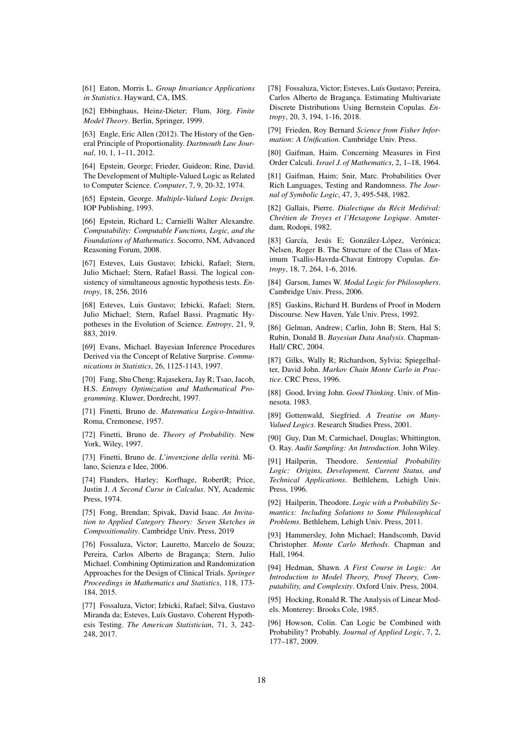<span id="page-17-9"></span>[61] Eaton, Morris L. *Group Invariance Applications in Statistics*. Hayward, CA, IMS.

<span id="page-17-27"></span>[62] Ebbinghaus, Heinz-Dieter; Flum, Jörg. Finite *Model Theory*. Berlin, Springer, 1999.

<span id="page-17-16"></span>[63] Engle, Eric Allen (2012). The History of the General Principle of Proportionality. *Dartmouth Law Journal*, 10, 1, 1–11, 2012.

<span id="page-17-11"></span>[64] Epstein, George; Frieder, Guideon; Rine, David. The Development of Multiple-Valued Logic as Related to Computer Science. *Computer*, 7, 9, 20-32, 1974.

<span id="page-17-12"></span>[65] Epstein, George. *Multiple-Valued Logic Design*. IOP Publishing, 1993.

<span id="page-17-33"></span>[66] Epstein, Richard L; Carnielli Walter Alexandre. *Computability: Computable Functions, Logic, and the Foundations of Mathematics*. Socorro, NM, Advanced Reasoning Forum, 2008.

<span id="page-17-0"></span>[67] Esteves, Luis Gustavo; Izbicki, Rafael; Stern, Julio Michael; Stern, Rafael Bassi. The logical consistency of simultaneous agnostic hypothesis tests. *Entropy*, 18, 256, 2016

<span id="page-17-1"></span>[68] Esteves, Luis Gustavo; Izbicki, Rafael; Stern, Julio Michael; Stern, Rafael Bassi. Pragmatic Hypotheses in the Evolution of Science. *Entropy*, 21, 9, 883, 2019.

<span id="page-17-5"></span>[69] Evans, Michael. Bayesian Inference Procedures Derived via the Concept of Relative Surprise. *Communications in Statistics*, 26, 1125-1143, 1997.

<span id="page-17-20"></span>[70] Fang, Shu Cheng; Rajasekera, Jay R; Tsao, Jacob, H.S. *Entropy Optimization and Mathematical Programming*. Kluwer, Dordrecht, 1997.

<span id="page-17-7"></span>[71] Finetti, Bruno de. *Matematica Logico-Intuitiva*. Roma, Cremonese, 1957.

<span id="page-17-23"></span>[72] Finetti, Bruno de. *Theory of Probability*. New York, Wiley, 1997.

<span id="page-17-24"></span>[73] Finetti, Bruno de. *L'invenzione della verita`*. Milano, Scienza e Idee, 2006.

<span id="page-17-8"></span>[74] Flanders, Harley; Korfhage, RobertR; Price, Justin J. *A Second Curse in Calculus*. NY, Academic Press, 1974.

<span id="page-17-32"></span>[75] Fong, Brendan; Spivak, David Isaac. *An Invitation to Applied Category Theory: Seven Sketches in Compositionality*. Cambridge Univ. Press, 2019

[76] Fossaluza, Victor; Lauretto, Marcelo de Souza; Pereira, Carlos Alberto de Bragança; Stern, Julio Michael. Combining Optimization and Randomization Approaches for the Design of Clinical Trials. *Springer Proceedings in Mathematics and Statistics*, 118, 173- 184, 2015.

<span id="page-17-17"></span>[77] Fossaluza, Victor; Izbicki, Rafael; Silva, Gustavo Miranda da; Esteves, Luís Gustavo. Coherent Hypothesis Testing. *The American Statistician*, 71, 3, 242- 248, 2017.

[78] Fossaluza, Victor; Esteves, Luís Gustavo; Pereira, Carlos Alberto de Bragança. Estimating Multivariate Discrete Distributions Using Bernstein Copulas. *Entropy*, 20, 3, 194, 1-16, 2018.

<span id="page-17-10"></span>[79] Frieden, Roy Bernard *Science from Fisher Information: A Unification*. Cambridge Univ. Press.

<span id="page-17-28"></span>[80] Gaifman, Haim. Concerning Measures in First Order Calculi. *Israel J. of Mathematics*, 2, 1–18, 1964.

<span id="page-17-29"></span>[81] Gaifman, Haim; Snir, Marc. Probabilities Over Rich Languages, Testing and Randomness. *The Journal of Symbolic Logic*, 47, 3, 495-548, 1982.

<span id="page-17-15"></span>[82] Gallais, Pierre. *Dialectique du Récit Mediéval: Chretien de Troyes et l'Hexagone Logique ´* . Amsterdam, Rodopi, 1982.

<span id="page-17-22"></span>[83] García, Jesús E; González-López, Verónica; Nelsen, Roger B. The Structure of the Class of Maximum Tsallis-Havrda-Chavat Entropy Copulas. *Entropy*, 18, 7, 264, 1-6, 2016.

<span id="page-17-14"></span>[84] Garson, James W. *Modal Logic for Philosophers*. Cambridge Univ. Press, 2006.

<span id="page-17-3"></span>[85] Gaskins, Richard H. Burdens of Proof in Modern Discourse. New Haven, Yale Univ. Press, 1992.

<span id="page-17-2"></span>[86] Gelman, Andrew; Carlin, John B; Stern, Hal S; Rubin, Donald B. *Bayesian Data Analysis*. Chapman-Hall/ CRC, 2004.

<span id="page-17-18"></span>[87] Gilks, Wally R; Richardson, Sylvia; Spiegelhalter, David John. *Markov Chain Monte Carlo in Practice*. CRC Press, 1996.

<span id="page-17-6"></span>[88] Good, Irving John. *Good Thinking*. Univ. of Minnesota. 1983.

<span id="page-17-13"></span>[89] Gottenwald, Siegfried. *A Treatise on Many-Valued Logics*. Research Studies Press, 2001.

<span id="page-17-4"></span>[90] Guy, Dan M; Carmichael, Douglas; Whittington, O. Ray. *Audit Sampling: An Introduction*. John Wiley.

<span id="page-17-25"></span>[91] Hailperin, Theodore. *Sentential Probability Logic: Origins, Development, Current Status, and Technical Applications*. Bethlehem, Lehigh Univ. Press, 1996.

<span id="page-17-26"></span>[92] Hailperin, Theodore. *Logic with a Probability Semantics: Including Solutions to Some Philosophical Problems*. Bethlehem, Lehigh Univ. Press, 2011.

<span id="page-17-19"></span>[93] Hammersley, John Michael; Handscomb, David Christopher. *Monte Carlo Methods*. Chapman and Hall, 1964.

<span id="page-17-30"></span>[94] Hedman, Shawn. *A First Course in Logic: An Introduction to Model Theory, Proof Theory, Computability, and Complexity*. Oxford Univ. Press, 2004.

<span id="page-17-21"></span>[95] Hocking, Ronald R. The Analysis of Linear Models. Monterey: Brooks Cole, 1985.

<span id="page-17-31"></span>[96] Howson, Colin. Can Logic be Combined with Probability? Probably. *Journal of Applied Logic*, 7, 2, 177–187, 2009.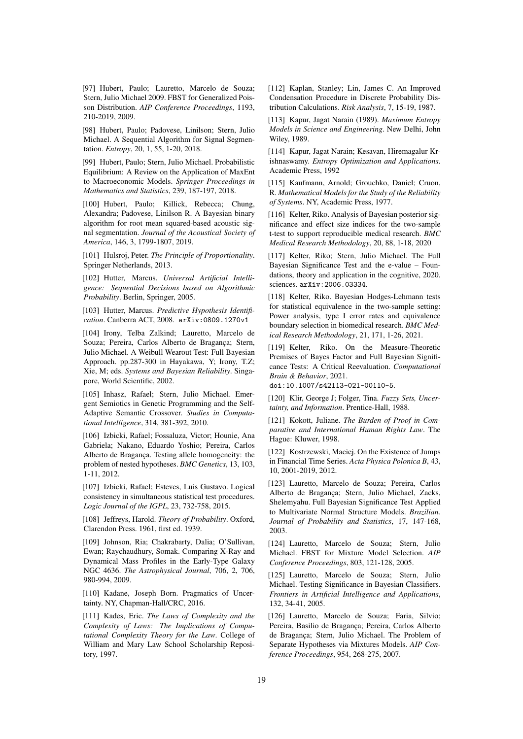<span id="page-18-13"></span>[97] Hubert, Paulo; Lauretto, Marcelo de Souza; Stern, Julio Michael 2009. FBST for Generalized Poisson Distribution. *AIP Conference Proceedings*, 1193, 210-2019, 2009.

<span id="page-18-17"></span>[98] Hubert, Paulo; Padovese, Linilson; Stern, Julio Michael. A Sequential Algorithm for Signal Segmentation. *Entropy*, 20, 1, 55, 1-20, 2018.

[99] Hubert, Paulo; Stern, Julio Michael. Probabilistic Equilibrium: A Review on the Application of MaxEnt to Macroeconomic Models. *Springer Proceedings in Mathematics and Statistics*, 239, 187-197, 2018.

<span id="page-18-18"></span>[100] Hubert, Paulo; Killick, Rebecca; Chung, Alexandra; Padovese, Linilson R. A Bayesian binary algorithm for root mean squared-based acoustic signal segmentation. *Journal of the Acoustical Society of America*, 146, 3, 1799-1807, 2019.

<span id="page-18-10"></span>[101] Hulsroj, Peter. *The Principle of Proportionality*. Springer Netherlands, 2013.

<span id="page-18-12"></span>[102] Hutter, Marcus. *Universal Artificial Intelligence: Sequential Decisions based on Algorithmic Probability*. Berlin, Springer, 2005.

[103] Hutter, Marcus. *Predictive Hypothesis Identification*. Canberra ACT, 2008. arXiv:0809.1270v1

<span id="page-18-15"></span>[104] Irony, Telba Zalkind; Lauretto, Marcelo de Souza; Pereira, Carlos Alberto de Bragança; Stern, Julio Michael. A Weibull Wearout Test: Full Bayesian Approach. pp.287-300 in Hayakawa, Y; Irony, T.Z; Xie, M; eds. *Systems and Bayesian Reliability*. Singapore, World Scientific, 2002.

<span id="page-18-22"></span>[105] Inhasz, Rafael; Stern, Julio Michael. Emergent Semiotics in Genetic Programming and the Self-Adaptive Semantic Crossover. *Studies in Computational Intelligence*, 314, 381-392, 2010.

<span id="page-18-19"></span>[106] Izbicki, Rafael; Fossaluza, Victor; Hounie, Ana Gabriela; Nakano, Eduardo Yoshio; Pereira, Carlos Alberto de Bragança. Testing allele homogeneity: the problem of nested hypotheses. *BMC Genetics*, 13, 103, 1-11, 2012.

<span id="page-18-9"></span>[107] Izbicki, Rafael; Esteves, Luis Gustavo. Logical consistency in simultaneous statistical test procedures. *Logic Journal of the IGPL*, 23, 732-758, 2015.

<span id="page-18-0"></span>[108] Jeffreys, Harold. *Theory of Probability*. Oxford, Clarendon Press. 1961, first ed. 1939.

<span id="page-18-21"></span>[109] Johnson, Ria; Chakrabarty, Dalia; O'Sullivan, Ewan; Raychaudhury, Somak. Comparing X-Ray and Dynamical Mass Profiles in the Early-Type Galaxy NGC 4636. *The Astrophysical Journal*, 706, 2, 706, 980-994, 2009.

[110] Kadane, Joseph Born. Pragmatics of Uncertainty. NY, Chapman-Hall/CRC, 2016.

<span id="page-18-23"></span>[111] Kades, Eric. *The Laws of Complexity and the Complexity of Laws: The Implications of Computational Complexity Theory for the Law*. College of William and Mary Law School Scholarship Repository, 1997.

<span id="page-18-7"></span>[112] Kaplan, Stanley; Lin, James C. An Improved Condensation Procedure in Discrete Probability Distribution Calculations. *Risk Analysis*, 7, 15-19, 1987.

<span id="page-18-1"></span>[113] Kapur, Jagat Narain (1989). *Maximum Entropy Models in Science and Engineering*. New Delhi, John Wiley, 1989.

<span id="page-18-11"></span>[114] Kapur, Jagat Narain; Kesavan, Hiremagalur Krishnaswamy. *Entropy Optimization and Applications*. Academic Press, 1992

<span id="page-18-6"></span>[115] Kaufmann, Arnold; Grouchko, Daniel; Cruon, R. *Mathematical Models for the Study of the Reliability of Systems*. NY, Academic Press, 1977.

<span id="page-18-20"></span>[116] Kelter, Riko. Analysis of Bayesian posterior significance and effect size indices for the two-sample t-test to support reproducible medical research. *BMC Medical Research Methodology*, 20, 88, 1-18, 2020

[117] Kelter, Riko; Stern, Julio Michael. The Full Bayesian Significance Test and the e-value – Foundations, theory and application in the cognitive, 2020. sciences. arXiv:2006.03334.

[118] Kelter, Riko. Bayesian Hodges-Lehmann tests for statistical equivalence in the two-sample setting: Power analysis, type I error rates and equivalence boundary selection in biomedical research. *BMC Medical Research Methodology*, 21, 171, 1-26, 2021.

<span id="page-18-2"></span>[119] Kelter, Riko. On the Measure-Theoretic Premises of Bayes Factor and Full Bayesian Significance Tests: A Critical Reevaluation. *Computational Brain & Behavior*, 2021.

doi:10.1007/s42113-021-00110-5.

<span id="page-18-8"></span>[120] Klir, George J; Folger, Tina. *Fuzzy Sets, Uncertainty, and Information*. Prentice-Hall, 1988.

<span id="page-18-3"></span>[121] Kokott, Juliane. *The Burden of Proof in Comparative and International Human Rights Law*. The Hague: Kluwer, 1998.

<span id="page-18-16"></span>[122] Kostrzewski, Maciej. On the Existence of Jumps in Financial Time Series. *Acta Physica Polonica B*, 43, 10, 2001-2019, 2012.

<span id="page-18-4"></span>[123] Lauretto, Marcelo de Souza; Pereira, Carlos Alberto de Bragança; Stern, Julio Michael, Zacks, Shelemyahu. Full Bayesian Significance Test Applied to Multivariate Normal Structure Models. *Brazilian. Journal of Probability and Statistics*, 17, 147-168, 2003.

<span id="page-18-14"></span>[124] Lauretto, Marcelo de Souza; Stern, Julio Michael. FBST for Mixture Model Selection. *AIP Conference Proceedings*, 803, 121-128, 2005.

[125] Lauretto, Marcelo de Souza; Stern, Julio Michael. Testing Significance in Bayesian Classifiers. *Frontiers in Artificial Intelligence and Applications*, 132, 34-41, 2005.

<span id="page-18-5"></span>[126] Lauretto, Marcelo de Souza; Faria, Silvio; Pereira, Basilio de Bragança; Pereira, Carlos Alberto de Bragança; Stern, Julio Michael. The Problem of Separate Hypotheses via Mixtures Models. *AIP Conference Proceedings*, 954, 268-275, 2007.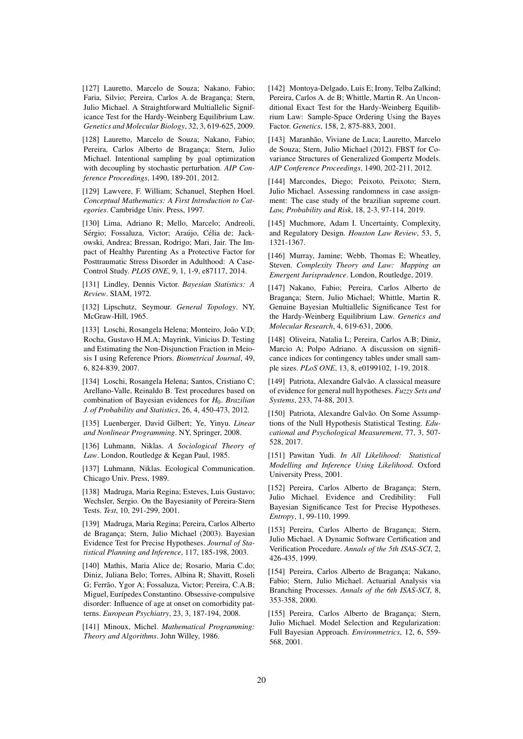<span id="page-19-11"></span>[127] Lauretto, Marcelo de Souza; Nakano, Fabio; Faria, Silvio; Pereira, Carlos A. de Bragança; Stern, Julio Michael. A Straightforward Multiallelic Significance Test for the Hardy-Weinberg Equilibrium Law. *Genetics and Molecular Biology*, 32, 3, 619-625, 2009.

[128] Lauretto, Marcelo de Souza; Nakano, Fabio; Pereira, Carlos Alberto de Bragança; Stern, Julio Michael. Intentional sampling by goal optimization with decoupling by stochastic perturbation. *AIP Conference Proceedings*, 1490, 189-201, 2012.

<span id="page-19-19"></span>[129] Lawvere, F. William; Schanuel, Stephen Hoel. *Conceptual Mathematics: A First Introduction to Categories*. Cambridge Univ. Press, 1997.

<span id="page-19-15"></span>[130] Lima, Adriano R; Mello, Marcelo; Andreoli, Sérgio; Fossaluza, Victor; Araújo, Célia de; Jackowski, Andrea; Bressan, Rodrigo; Mari, Jair. The Impact of Healthy Parenting As a Protective Factor for Posttraumatic Stress Disorder in Adulthood: A Case-Control Study. *PLOS ONE*, 9, 1, 1-9, e87117, 2014.

<span id="page-19-5"></span>[131] Lindley, Dennis Victor. *Bayesian Statistics: A Review*. SIAM, 1972.

<span id="page-19-18"></span>[132] Lipschutz, Seymour. *General Topology*. NY, McGraw-Hill, 1965.

<span id="page-19-12"></span>[133] Loschi, Rosangela Helena; Monteiro, João V.D; Rocha, Gustavo H.M.A; Mayrink, Vinicius D. Testing and Estimating the Non-Disjunction Fraction in Meiosis I using Reference Priors. *Biometrical Journal*, 49, 6, 824-839, 2007.

[134] Loschi, Rosangela Helena; Santos, Cristiano C; Arellano-Valle, Reinaldo B. Test procedures based on combination of Bayesian evidences for *H*0. *Brazilian J. of Probability and Statistics*, 26, 4, 450-473, 2012.

<span id="page-19-7"></span>[135] Luenberger, David Gilbert; Ye, Yinyu. *Linear and Nonlinear Programming*. NY, Springer, 2008.

<span id="page-19-20"></span>[136] Luhmann, Niklas. *A Sociological Theory of Law*. London, Routledge & Kegan Paul, 1985.

<span id="page-19-21"></span>[137] Luhmann, Niklas. Ecological Communication. Chicago Univ. Press, 1989.

<span id="page-19-6"></span>[138] Madruga, Maria Regina; Esteves, Luis Gustavo; Wechsler, Sergio. On the Bayesianity of Pereira-Stern Tests. *Test*, 10, 291-299, 2001.

<span id="page-19-1"></span>[139] Madruga, Maria Regina; Pereira, Carlos Alberto de Bragança; Stern, Julio Michael (2003). Bayesian Evidence Test for Precise Hypotheses. *Journal of Statistical Planning and Inference*, 117, 185-198, 2003.

<span id="page-19-16"></span>[140] Mathis, Maria Alice de; Rosario, Maria C.do; Diniz, Juliana Belo; Torres, Albina R; Shavitt, Roseli G; Ferrão, Ygor A; Fossaluza, Victor; Pereira, C.A.B; Miguel, Eurípedes Constantino. Obsessive-compulsive disorder: Influence of age at onset on comorbidity patterns. *European Psychiatry*, 23, 3, 187-194, 2008.

<span id="page-19-8"></span>[141] Minoux, Michel. *Mathematical Programming: Theory and Algorithms*. John Willey, 1986.

<span id="page-19-13"></span>[142] Montoya-Delgado, Luis E; Irony, Telba Zalkind; Pereira, Carlos A. de B; Whittle, Martin R. An Unconditional Exact Test for the Hardy-Weinberg Equilibrium Law: Sample-Space Ordering Using the Bayes Factor. *Genetics*, 158, 2, 875-883, 2001.

<span id="page-19-9"></span>[143] Maranhão, Viviane de Luca; Lauretto, Marcelo de Souza; Stern, Julio Michael (2012). FBST for Covariance Structures of Generalized Gompertz Models. *AIP Conference Proceedings*, 1490, 202-211, 2012.

[144] Marcondes, Diego; Peixoto, Peixoto; Stern, Julio Michael. Assessing randomness in case assignment: The case study of the brazilian supreme court. *Law, Probability and Risk*, 18, 2-3, 97-114, 2019.

<span id="page-19-22"></span>[145] Muchmore, Adam I. Uncertainty, Complexity, and Regulatory Design. *Houston Law Review*, 53, 5, 1321-1367.

<span id="page-19-23"></span>[146] Murray, Jamine; Webb, Thomas E; Wheatley, Steven. *Complexity Theory and Law: Mapping an Emergent Jurisprudence*. London, Routledge, 2019.

<span id="page-19-14"></span>[147] Nakano, Fabio; Pereira, Carlos Alberto de Bragança; Stern, Julio Michael; Whittle, Martin R. Genuine Bayesian Multiallelic Significance Test for the Hardy-Weinberg Equilibrium Law. *Genetics and Molecular Research*, 4, 619-631, 2006.

<span id="page-19-10"></span>[148] Oliveira, Natalia L; Pereira, Carlos A.B; Diniz, Marcio A; Polpo Adriano. A discussion on significance indices for contingency tables under small sample sizes. *PLoS ONE*, 13, 8, e0199102, 1-19, 2018.

[149] Patriota, Alexandre Galvão. A classical measure of evidence for general null hypotheses. *Fuzzy Sets and Systems*, 233, 74-88, 2013.

[150] Patriota, Alexandre Galvão. On Some Assumptions of the Null Hypothesis Statistical Testing. *Educational and Psychological Measurement*, 77, 3, 507- 528, 2017.

<span id="page-19-2"></span>[151] Pawitan Yudi. *In All Likelihood: Statistical Modelling and Inference Using Likelihood*. Oxford University Press, 2001.

<span id="page-19-0"></span>[152] Pereira, Carlos Alberto de Bragança; Stern, Julio Michael. Evidence and Credibility: Full Bayesian Significance Test for Precise Hypotheses. *Entropy*, 1, 99-110, 1999.

<span id="page-19-3"></span>[153] Pereira, Carlos Alberto de Bragança; Stern, Julio Michael. A Dynamic Software Certification and Verification Procedure. *Annals of the 5th ISAS-SCI*, 2, 426-435, 1999.

<span id="page-19-4"></span>[154] Pereira, Carlos Alberto de Bragança; Nakano, Fabio; Stern, Julio Michael. Actuarial Analysis via Branching Processes. *Annals of the 6th ISAS-SCI*, 8, 353-358, 2000.

<span id="page-19-17"></span>[155] Pereira, Carlos Alberto de Bragança; Stern, Julio Michael. Model Selection and Regularization: Full Bayesian Approach. *Environmetrics*, 12, 6, 559- 568, 2001.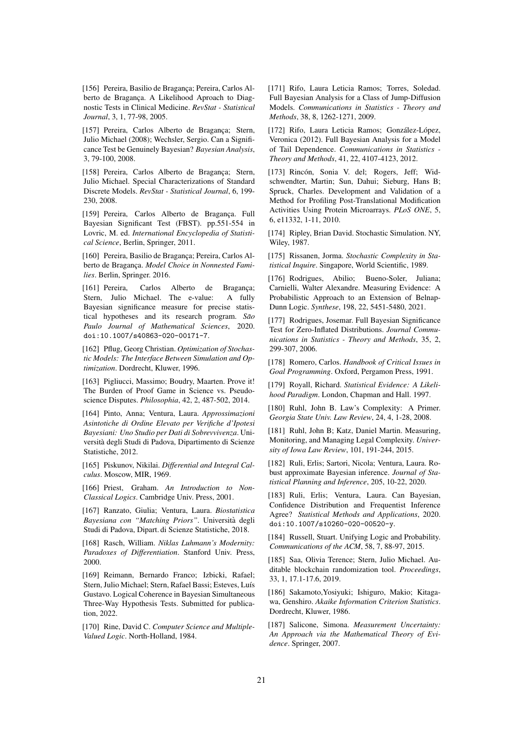<span id="page-20-23"></span>[156] Pereira, Basilio de Bragança; Pereira, Carlos Alberto de Bragança. A Likelihood Aproach to Diagnostic Tests in Clinical Medicine. *RevStat - Statistical Journal*, 3, 1, 77-98, 2005.

<span id="page-20-0"></span>[157] Pereira, Carlos Alberto de Bragança; Stern, Julio Michael (2008); Wechsler, Sergio. Can a Significance Test be Genuinely Bayesian? *Bayesian Analysis*, 3, 79-100, 2008.

<span id="page-20-21"></span>[158] Pereira, Carlos Alberto de Bragança; Stern, Julio Michael. Special Characterizations of Standard Discrete Models. *RevStat - Statistical Journal*, 6, 199- 230, 2008.

<span id="page-20-2"></span>[159] Pereira, Carlos Alberto de Bragança. Full Bayesian Significant Test (FBST). pp.551-554 in Lovric, M. ed. *International Encyclopedia of Statistical Science*, Berlin, Springer, 2011.

<span id="page-20-17"></span>[160] Pereira, Basilio de Bragança; Pereira, Carlos Alberto de Bragança. Model Choice in Nonnested Fami*lies*. Berlin, Springer. 2016.

<span id="page-20-1"></span>[161] Pereira, Carlos Alberto de Bragança; Stern, Julio Michael. The e-value: A fully Bayesian significance measure for precise statistical hypotheses and its research program. São *Paulo Journal of Mathematical Sciences*, 2020. doi:10.1007/s40863-020-00171-7.

<span id="page-20-15"></span>[162] Pflug, Georg Christian. *Optimization of Stochastic Models: The Interface Between Simulation and Optimization*. Dordrecht, Kluwer, 1996.

<span id="page-20-3"></span>[163] Pigliucci, Massimo; Boudry, Maarten. Prove it! The Burden of Proof Game in Science vs. Pseudoscience Disputes. *Philosophia*, 42, 2, 487-502, 2014.

<span id="page-20-7"></span>[164] Pinto, Anna; Ventura, Laura. *Approssimazioni Asintotiche di Ordine Elevato per Verifiche d'Ipotesi Bayesiani: Uno Studio per Dati di Sobrevvivenza*. Universita degli Studi di Padova, Dipartimento di Scienze ` Statistiche, 2012.

<span id="page-20-6"></span>[165] Piskunov, Nikilai. *Differential and Integral Calculus*. Moscow, MIR, 1969.

<span id="page-20-12"></span>[166] Priest, Graham. An Introduction to Non-*Classical Logics*. Cambridge Univ. Press, 2001.

<span id="page-20-8"></span>[167] Ranzato, Giulia; Ventura, Laura. *Biostatistica Bayesiana con "Matching Priors"*. Universita degli ` Studi di Padova, Dipart. di Scienze Statistiche, 2018.

<span id="page-20-27"></span>[168] Rasch, William. *Niklas Luhmann's Modernity: Paradoxes of Differentiation*. Stanford Univ. Press, 2000.

<span id="page-20-13"></span>[169] Reimann, Bernardo Franco; Izbicki, Rafael; Stern, Julio Michael; Stern, Rafael Bassi; Esteves, Luís Gustavo. Logical Coherence in Bayesian Simultaneous Three-Way Hypothesis Tests. Submitted for publication, 2022.

<span id="page-20-11"></span>[170] Rine, David C. *Computer Science and Multiple-Valued Logic*. North-Holland, 1984.

<span id="page-20-19"></span>[171] Rifo, Laura Leticia Ramos; Torres, Soledad. Full Bayesian Analysis for a Class of Jump-Diffusion Models. *Communications in Statistics - Theory and Methods*, 38, 8, 1262-1271, 2009.

<span id="page-20-20"></span>[172] Rifo, Laura Leticia Ramos; González-López, Veronica (2012). Full Bayesian Analysis for a Model of Tail Dependence. *Communications in Statistics - Theory and Methods*, 41, 22, 4107-4123, 2012.

<span id="page-20-22"></span>[173] Rincón, Sonia V. del; Rogers, Jeff; Widschwendter, Martin; Sun, Dahui; Sieburg, Hans B; Spruck, Charles. Development and Validation of a Method for Profiling Post-Translational Modification Activities Using Protein Microarrays. *PLoS ONE*, 5, 6, e11332, 1-11, 2010.

<span id="page-20-24"></span>[174] Ripley, Brian David. Stochastic Simulation. NY, Wiley, 1987.

<span id="page-20-28"></span>[175] Rissanen, Jorma. *Stochastic Complexity in Statistical Inquire*. Singapore, World Scientific, 1989.

<span id="page-20-26"></span>[176] Rodrigues, Abilio; Bueno-Soler, Juliana; Carnielli, Walter Alexandre. Measuring Evidence: A Probabilistic Approach to an Extension of Belnap-Dunn Logic. *Synthese*, 198, 22, 5451-5480, 2021.

<span id="page-20-18"></span>[177] Rodrigues, Josemar. Full Bayesian Significance Test for Zero-Inflated Distributions. *Journal Communications in Statistics - Theory and Methods*, 35, 2, 299-307, 2006.

<span id="page-20-14"></span>[178] Romero, Carlos. *Handbook of Critical Issues in Goal Programming*. Oxford, Pergamon Press, 1991.

<span id="page-20-4"></span>[179] Royall, Richard. *Statistical Evidence: A Likelihood Paradigm*. London, Chapman and Hall. 1997.

<span id="page-20-29"></span>[180] Ruhl, John B. Law's Complexity: A Primer. *Georgia State Univ. Law Review*, 24, 4, 1-28, 2008.

<span id="page-20-30"></span>[181] Ruhl, John B; Katz, Daniel Martin. Measuring, Monitoring, and Managing Legal Complexity. *University of Iowa Law Review*, 101, 191-244, 2015.

<span id="page-20-9"></span>[182] Ruli, Erlis; Sartori, Nicola; Ventura, Laura. Robust approximate Bayesian inference. *Journal of Statistical Planning and Inference*, 205, 10-22, 2020.

<span id="page-20-10"></span>[183] Ruli, Erlis; Ventura, Laura. Can Bayesian, Confidence Distribution and Frequentist Inference Agree? *Statistical Methods and Applications*, 2020. doi:10.1007/s10260-020-00520-y.

<span id="page-20-25"></span>[184] Russell, Stuart. Unifying Logic and Probability. *Communications of the ACM*, 58, 7, 88-97, 2015.

[185] Saa, Olivia Terence; Stern, Julio Michael. Auditable blockchain randomization tool. *Proceedings*, 33, 1, 17.1-17.6, 2019.

<span id="page-20-16"></span>[186] Sakamoto,Yosiyuki; Ishiguro, Makio; Kitagawa, Genshiro. *Akaike Information Criterion Statistics*. Dordrecht, Kluwer, 1986.

<span id="page-20-5"></span>[187] Salicone, Simona. *Measurement Uncertainty: An Approach via the Mathematical Theory of Evidence*. Springer, 2007.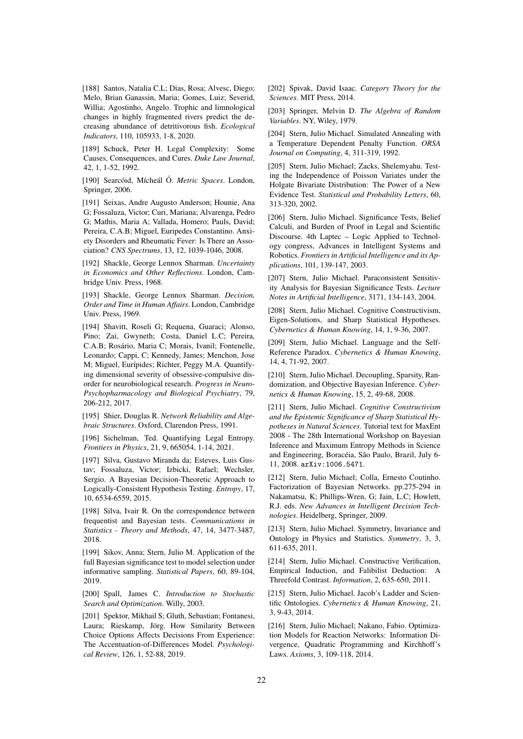<span id="page-21-13"></span>[188] Santos, Natalia C.L; Dias, Rosa; Alvesc, Diego; Melo, Brian Ganassin, Maria; Gomes, Luiz; Severid, Willia; Agostinho, Angelo. Trophic and limnological changes in highly fragmented rivers predict the decreasing abundance of detritivorous fish. *Ecological Indicators*, 110, 105933, 1-8, 2020.

<span id="page-21-24"></span>[189] Schuck, Peter H. Legal Complexity: Some Causes, Consequences, and Cures. *Duke Law Journal*, 42, 1, 1-52, 1992.

<span id="page-21-19"></span>[190] Searcóid, Mícheál Ó. *Metric Spaces*. London, Springer, 2006.

<span id="page-21-14"></span>[191] Seixas, Andre Augusto Anderson; Hounie, Ana G; Fossaluza, Victor; Curi, Mariana; Alvarenga, Pedro G; Mathis, Maria A; Vallada, Homero; Pauls, David; Pereira, C.A.B; Miguel, Euripedes Constantino. Anxiety Disorders and Rheumatic Fever: Is There an Association? *CNS Spectrums*, 13, 12, 1039-1046, 2008.

<span id="page-21-3"></span>[192] Shackle, George Lennox Sharman. *Uncertainty in Economics and Other Reflections*. London, Cambridge Univ. Press, 1968.

<span id="page-21-4"></span>[193] Shackle, George Lennox Sharman. *Decision, Order and Time in Human Affairs*. London, Cambridge Univ. Press, 1969.

[194] Shavitt, Roseli G; Requena, Guaraci; Alonso, Pino; Zai, Gwyneth; Costa, Daniel L.C; Pereira, C.A.B; Rosário, Maria C; Morais, Ivanil; Fontenelle, Leonardo; Cappi, C; Kennedy, James; Menchon, Jose M; Miguel, Eurípides; Richter, Peggy M.A. Quantifying dimensional severity of obsessive-compulsive disorder for neurobiological research. *Progress in Neuro-Psychopharmacology and Biological Psychiatry*, 79, 206-212, 2017.

<span id="page-21-20"></span>[195] Shier, Douglas R. *Network Reliability and Algebraic Structures*. Oxford, Clarendon Press, 1991.

<span id="page-21-25"></span>[196] Sichelman, Ted. Quantifying Legal Entropy. *Frontiers in Physics*, 21, 9, 665054, 1-14, 2021.

<span id="page-21-7"></span>[197] Silva, Gustavo Miranda da; Esteves, Luis Gustav; Fossaluza, Victor; Izbicki, Rafael; Wechsler, Sergio. A Bayesian Decision-Theoretic Approach to Logically-Consistent Hypothesis Testing. *Entropy*, 17, 10, 6534-6559, 2015.

<span id="page-21-8"></span>[198] Silva, Ivair R. On the correspondence between frequentist and Bayesian tests. *Communications in Statistics - Theory and Methods*, 47, 14, 3477-3487, 2018.

<span id="page-21-11"></span>[199] Sikov, Anna; Stern, Julio M. Application of the full Bayesian significance test to model selection under informative sampling. *Statistical Papers*, 60, 89-104, 2019.

<span id="page-21-9"></span>[200] Spall, James C. *Introduction to Stochastic Search and Optimization*. Willy, 2003.

<span id="page-21-15"></span>[201] Spektor, Mikhail S; Gluth, Sebastian; Fontanesi, Laura; Rieskamp, Jörg. How Similarity Between Choice Options Affects Decisions From Experience: The Accentuation-of-Differences Model. *Psychological Review*, 126, 1, 52-88, 2019.

<span id="page-21-21"></span>[202] Spivak, David Isaac. *Category Theory for the Sciences*. MIT Press, 2014.

<span id="page-21-5"></span>[203] Springer, Melvin D. *The Algebra of Random Variables*. NY, Wiley, 1979.

<span id="page-21-10"></span>[204] Stern, Julio Michael. Simulated Annealing with a Temperature Dependent Penalty Function. *ORSA Journal on Computing*, 4, 311-319, 1992.

<span id="page-21-12"></span>[205] Stern, Julio Michael; Zacks, Shelemyahu. Testing the Independence of Poisson Variates under the Holgate Bivariate Distribution: The Power of a New Evidence Test. *Statistical and Probability Letters*, 60, 313-320, 2002.

<span id="page-21-2"></span>[206] Stern, Julio Michael. Significance Tests, Belief Calculi, and Burden of Proof in Legal and Scientific Discourse. 4th Laptec – Logic Applied to Technology congress, Advances in Intelligent Systems and Robotics. *Frontiers in Artificial Intelligence and its Applications*, 101, 139-147, 2003.

<span id="page-21-6"></span>[207] Stern, Julio Michael. Paraconsistent Sensitivity Analysis for Bayesian Significance Tests. *Lecture Notes in Artificial Intelligence*, 3171, 134-143, 2004.

<span id="page-21-16"></span>[208] Stern, Julio Michael. Cognitive Constructivism, Eigen-Solutions, and Sharp Statistical Hypotheses. *Cybernetics & Human Knowing*, 14, 1, 9-36, 2007.

<span id="page-21-22"></span>[209] Stern, Julio Michael. Language and the Self-Reference Paradox. *Cybernetics & Human Knowing*, 14, 4, 71-92, 2007.

<span id="page-21-17"></span>[210] Stern, Julio Michael. Decoupling, Sparsity, Randomization, and Objective Bayesian Inference. *Cybernetics & Human Knowing*, 15, 2, 49-68, 2008.

[211] Stern, Julio Michael. *Cognitive Constructivism and the Epistemic Significance of Sharp Statistical Hypotheses in Natural Sciences*. Tutorial text for MaxEnt 2008 - The 28th International Workshop on Bayesian Inference and Maximum Entropy Methods in Science and Engineering, Boracéia, São Paulo, Brazil, July 6-11, 2008. arXiv:1006.5471.

[212] Stern, Julio Michael; Colla, Ernesto Coutinho. Factorization of Bayesian Networks. pp.275-294 in Nakamatsu, K; Phillips-Wren, G; Jain, L.C; Howlett, R.J. eds. *New Advances in Intelligent Decision Technologies*. Heidelberg, Springer, 2009.

<span id="page-21-0"></span>[213] Stern, Julio Michael. Symmetry, Invariance and Ontology in Physics and Statistics. *Symmetry*, 3, 3, 611-635, 2011.

<span id="page-21-1"></span>[214] Stern, Julio Michael. Constructive Verification, Empirical Induction, and Falibilist Deduction: Threefold Contrast. *Information*, 2, 635-650, 2011.

<span id="page-21-18"></span>[215] Stern, Julio Michael. Jacob's Ladder and Scientific Ontologies. *Cybernetics & Human Knowing*, 21, 3, 9-43, 2014.

<span id="page-21-23"></span>[216] Stern, Julio Michael; Nakano, Fabio. Optimization Models for Reaction Networks: Information Divergence, Quadratic Programming and Kirchhoff's Laws. *Axioms*, 3, 109-118, 2014.